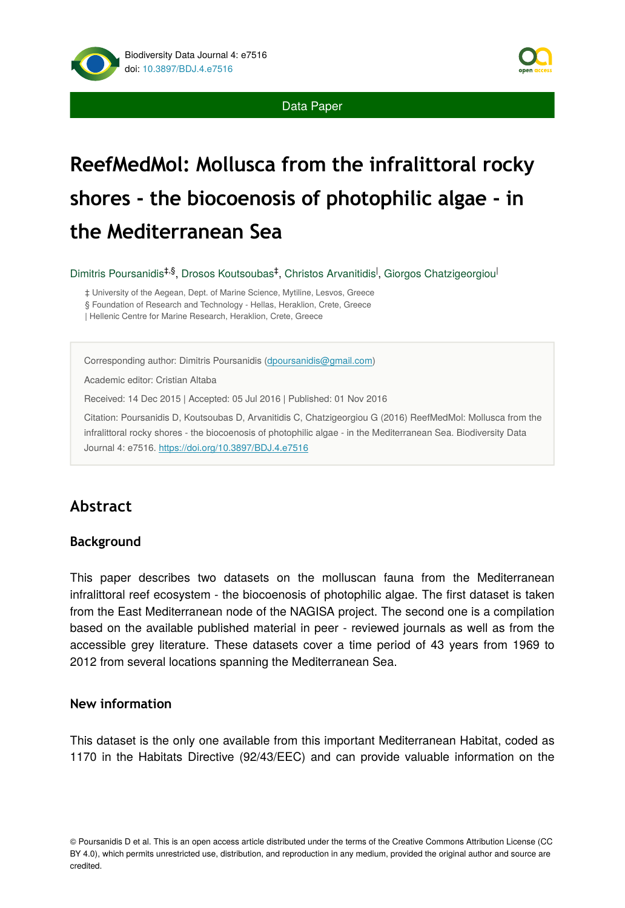

# **ReefMedMol: Mollusca from the infralittoral rocky shores - the biocoenosis of photophilic algae - in the Mediterranean Sea**

Dimitris Poursanidis<sup>‡,§</sup>, Drosos Koutsoubas<sup>‡</sup>, Christos Arvanitidis<sup>|</sup>, Giorgos Chatzigeorgiou<sup>|</sup>

‡ University of the Aegean, Dept. of Marine Science, Mytiline, Lesvos, Greece § Foundation of Research and Technology - Hellas, Heraklion, Crete, Greece | Hellenic Centre for Marine Research, Heraklion, Crete, Greece

Corresponding author: Dimitris Poursanidis [\(dpoursanidis@gmail.com\)](mailto:dpoursanidis@gmail.com?subject=Your%20manuscript%20in%20PWT%20#4520/Biodiversity%20Data%20Journal%20#7516)

Academic editor: Cristian Altaba

Received: 14 Dec 2015 | Accepted: 05 Jul 2016 | Published: 01 Nov 2016

Citation: Poursanidis D, Koutsoubas D, Arvanitidis C, Chatzigeorgiou G (2016) ReefMedMol: Mollusca from the infralittoral rocky shores - the biocoenosis of photophilic algae - in the Mediterranean Sea. Biodiversity Data Journal 4: e7516. <https://doi.org/10.3897/BDJ.4.e7516>

# **Abstract**

#### **Background**

This paper describes two datasets on the molluscan fauna from the Mediterranean infralittoral reef ecosystem - the biocoenosis of photophilic algae. The first dataset is taken from the East Mediterranean node of the NAGISA project. The second one is a compilation based on the available published material in peer - reviewed journals as well as from the accessible grey literature. These datasets cover a time period of 43 years from 1969 to 2012 from several locations spanning the Mediterranean Sea.

### **New information**

This dataset is the only one available from this important Mediterranean Habitat, coded as 1170 in the Habitats Directive (92/43/EEC) and can provide valuable information on the

© Poursanidis D et al. This is an open access article distributed under the terms of the Creative Commons Attribution License (CC BY 4.0), which permits unrestricted use, distribution, and reproduction in any medium, provided the original author and source are credited.

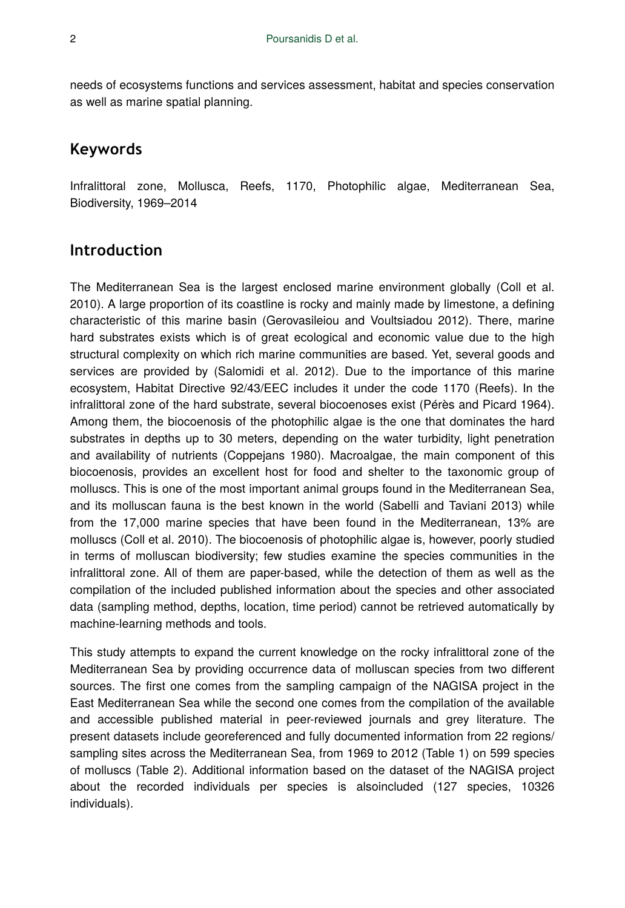needs of ecosystems functions and services assessment, habitat and species conservation as well as marine spatial planning.

## **Keywords**

Infralittoral zone, Mollusca, Reefs, 1170, Photophilic algae, Mediterranean Sea, Biodiversity, 1969–2014

## **Introduction**

The Mediterranean Sea is the largest enclosed marine environment globally (Coll et al. 2010). A large proportion of its coastline is rocky and mainly made by limestone, a defining characteristic of this marine basin (Gerovasileiou and Voultsiadou 2012). There, marine hard substrates exists which is of great ecological and economic value due to the high structural complexity on which rich marine communities are based. Yet, several goods and services are provided by (Salomidi et al. 2012). Due to the importance of this marine ecosystem, Habitat Directive 92/43/EEC includes it under the code 1170 (Reefs). In the infralittoral zone of the hard substrate, several biocoenoses exist (Pérès and Picard 1964). Among them, the biocoenosis of the photophilic algae is the one that dominates the hard substrates in depths up to 30 meters, depending on the water turbidity, light penetration and availability of nutrients (Coppejans 1980). Macroalgae, the main component of this biocoenosis, provides an excellent host for food and shelter to the taxonomic group of molluscs. This is one of the most important animal groups found in the Mediterranean Sea, and its molluscan fauna is the best known in the world (Sabelli and Taviani 2013) while from the 17,000 marine species that have been found in the Mediterranean, 13% are molluscs (Coll et al. 2010). The biocoenosis of photophilic algae is, however, poorly studied in terms of molluscan biodiversity; few studies examine the species communities in the infralittoral zone. All of them are paper-based, while the detection of them as well as the compilation of the included published information about the species and other associated data (sampling method, depths, location, time period) cannot be retrieved automatically by machine-learning methods and tools.

This study attempts to expand the current knowledge on the rocky infralittoral zone of the Mediterranean Sea by providing occurrence data of molluscan species from two different sources. The first one comes from the sampling campaign of the NAGISA project in the East Mediterranean Sea while the second one comes from the compilation of the available and accessible published material in peer-reviewed journals and grey literature. The present datasets include georeferenced and fully documented information from 22 regions/ sampling sites across the Mediterranean Sea, from 1969 to 2012 (Table 1) on 599 species of molluscs (Table 2). Additional information based on the dataset of the NAGISA project about the recorded individuals per species is alsoincluded (127 species, 10326 individuals).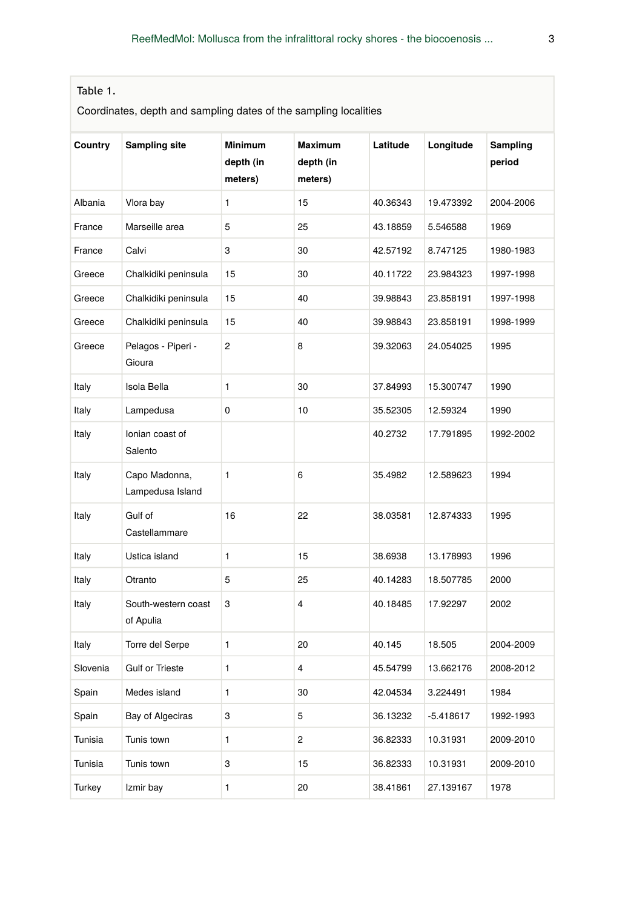## Table 1.

Coordinates, depth and sampling dates of the sampling localities

| Country  | Sampling site                     | <b>Minimum</b><br>depth (in<br>meters) | <b>Maximum</b><br>depth (in<br>meters) | Latitude | Longitude | Sampling<br>period |
|----------|-----------------------------------|----------------------------------------|----------------------------------------|----------|-----------|--------------------|
| Albania  | Vlora bay                         | 1                                      | 15                                     | 40.36343 | 19.473392 | 2004-2006          |
| France   | Marseille area                    | 5                                      | 25                                     | 43.18859 | 5.546588  | 1969               |
| France   | Calvi                             | 3                                      | 30                                     | 42.57192 | 8.747125  | 1980-1983          |
| Greece   | Chalkidiki peninsula              | 15                                     | 30                                     | 40.11722 | 23.984323 | 1997-1998          |
| Greece   | Chalkidiki peninsula              | 15                                     | 40                                     | 39.98843 | 23.858191 | 1997-1998          |
| Greece   | Chalkidiki peninsula              | 15                                     | 40                                     | 39.98843 | 23.858191 | 1998-1999          |
| Greece   | Pelagos - Piperi -<br>Gioura      | 2                                      | 8                                      | 39.32063 | 24.054025 | 1995               |
| Italy    | Isola Bella                       | 1                                      | 30                                     | 37.84993 | 15.300747 | 1990               |
| Italy    | Lampedusa                         | 0                                      | 10                                     | 35.52305 | 12.59324  | 1990               |
| Italy    | Ionian coast of<br>Salento        |                                        |                                        | 40.2732  | 17.791895 | 1992-2002          |
| Italy    | Capo Madonna,<br>Lampedusa Island | 1                                      | 6                                      | 35.4982  | 12.589623 | 1994               |
| Italy    | Gulf of<br>Castellammare          | 16                                     | 22                                     | 38.03581 | 12.874333 | 1995               |
| Italy    | Ustica island                     | 1                                      | 15                                     | 38.6938  | 13.178993 | 1996               |
| Italy    | Otranto                           | 5                                      | 25                                     | 40.14283 | 18.507785 | 2000               |
| Italy    | South-western coast<br>of Apulia  | 3                                      | 4                                      | 40.18485 | 17.92297  | 2002               |
| Italy    | Torre del Serpe                   | 1                                      | 20                                     | 40.145   | 18.505    | 2004-2009          |
| Slovenia | Gulf or Trieste                   | 1                                      | 4                                      | 45.54799 | 13.662176 | 2008-2012          |
| Spain    | Medes island                      | 1                                      | 30                                     | 42.04534 | 3.224491  | 1984               |
| Spain    | Bay of Algeciras                  | 3                                      | 5                                      | 36.13232 | -5.418617 | 1992-1993          |
| Tunisia  | Tunis town                        | $\mathbf{1}$                           | $\overline{c}$                         | 36.82333 | 10.31931  | 2009-2010          |
| Tunisia  | Tunis town                        | 3                                      | 15                                     | 36.82333 | 10.31931  | 2009-2010          |
| Turkey   | Izmir bay                         | 1                                      | 20                                     | 38.41861 | 27.139167 | 1978               |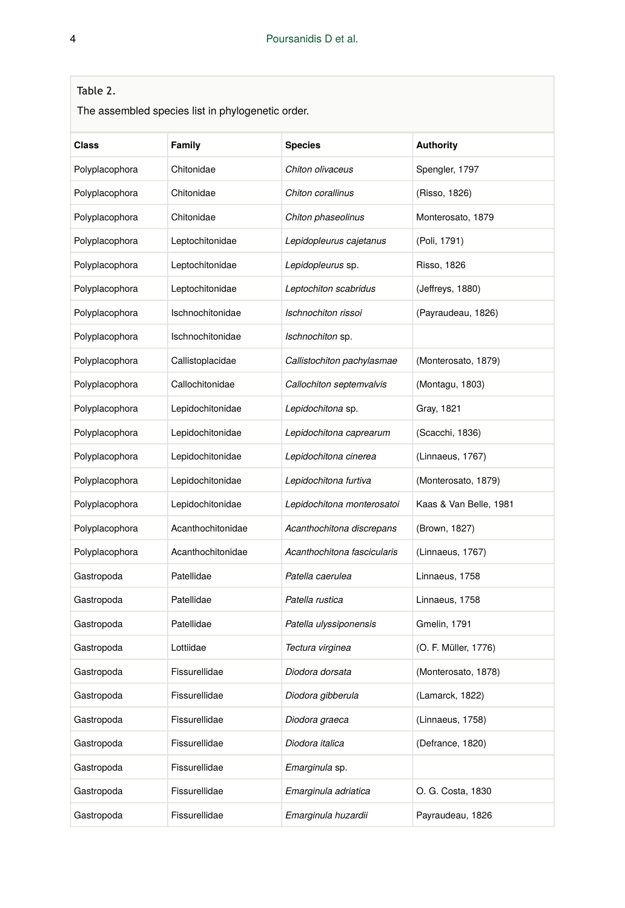## Table 2.

The assembled species list in phylogenetic order.

| Class          | Family            | <b>Species</b>              | <b>Authority</b>       |
|----------------|-------------------|-----------------------------|------------------------|
| Polyplacophora | Chitonidae        | Chiton olivaceus            | Spengler, 1797         |
| Polyplacophora | Chitonidae        | Chiton corallinus           | (Risso, 1826)          |
| Polyplacophora | Chitonidae        | Chiton phaseolinus          | Monterosato, 1879      |
| Polyplacophora | Leptochitonidae   | Lepidopleurus cajetanus     | (Poli, 1791)           |
| Polyplacophora | Leptochitonidae   | Lepidopleurus sp.           | Risso, 1826            |
| Polyplacophora | Leptochitonidae   | Leptochiton scabridus       | (Jeffreys, 1880)       |
| Polyplacophora | Ischnochitonidae  | Ischnochiton rissoi         | (Payraudeau, 1826)     |
| Polyplacophora | Ischnochitonidae  | Ischnochiton sp.            |                        |
| Polyplacophora | Callistoplacidae  | Callistochiton pachylasmae  | (Monterosato, 1879)    |
| Polyplacophora | Callochitonidae   | Callochiton septemvalvis    | (Montagu, 1803)        |
| Polyplacophora | Lepidochitonidae  | Lepidochitona sp.           | Gray, 1821             |
| Polyplacophora | Lepidochitonidae  | Lepidochitona caprearum     | (Scacchi, 1836)        |
| Polyplacophora | Lepidochitonidae  | Lepidochitona cinerea       | (Linnaeus, 1767)       |
| Polyplacophora | Lepidochitonidae  | Lepidochitona furtiva       | (Monterosato, 1879)    |
| Polyplacophora | Lepidochitonidae  | Lepidochitona monterosatoi  | Kaas & Van Belle, 1981 |
| Polyplacophora | Acanthochitonidae | Acanthochitona discrepans   | (Brown, 1827)          |
| Polyplacophora | Acanthochitonidae | Acanthochitona fascicularis | (Linnaeus, 1767)       |
| Gastropoda     | Patellidae        | Patella caerulea            | Linnaeus, 1758         |
| Gastropoda     | Patellidae        | Patella rustica             | Linnaeus, 1758         |
| Gastropoda     | Patellidae        | Patella ulyssiponensis      | Gmelin, 1791           |
| Gastropoda     | Lottiidae         | Tectura virginea            | (O. F. Müller, 1776)   |
| Gastropoda     | Fissurellidae     | Diodora dorsata             | (Monterosato, 1878)    |
| Gastropoda     | Fissurellidae     | Diodora gibberula           | (Lamarck, 1822)        |
| Gastropoda     | Fissurellidae     | Diodora graeca              | (Linnaeus, 1758)       |
| Gastropoda     | Fissurellidae     | Diodora italica             | (Defrance, 1820)       |
| Gastropoda     | Fissurellidae     | Emarginula sp.              |                        |
| Gastropoda     | Fissurellidae     | Emarginula adriatica        | O. G. Costa, 1830      |
| Gastropoda     | Fissurellidae     | Emarginula huzardii         | Payraudeau, 1826       |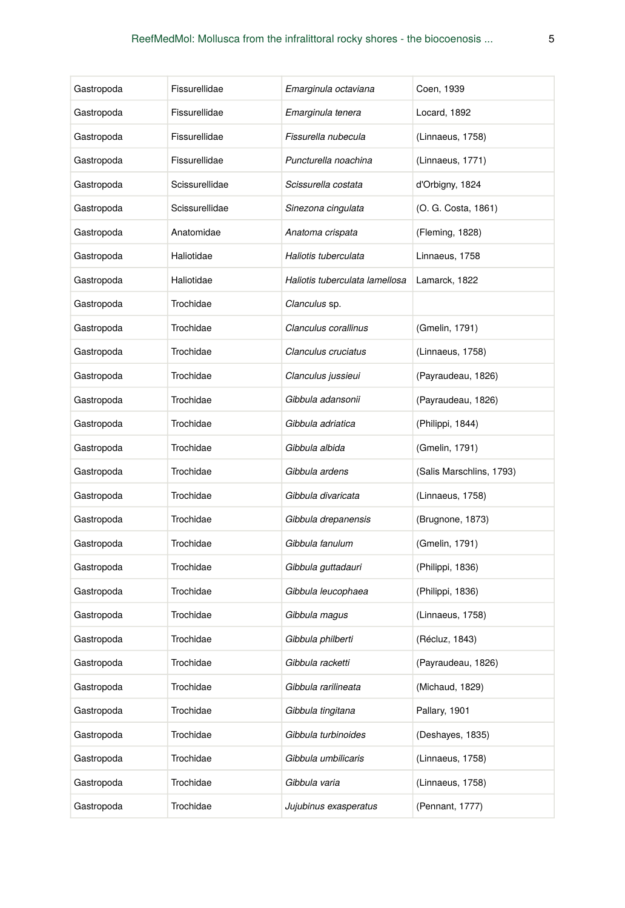| Gastropoda | Fissurellidae  | Emarginula octaviana           | Coen, 1939               |
|------------|----------------|--------------------------------|--------------------------|
| Gastropoda | Fissurellidae  | Emarginula tenera              | Locard, 1892             |
| Gastropoda | Fissurellidae  | Fissurella nubecula            | (Linnaeus, 1758)         |
| Gastropoda | Fissurellidae  | Puncturella noachina           | (Linnaeus, 1771)         |
| Gastropoda | Scissurellidae | Scissurella costata            | d'Orbigny, 1824          |
| Gastropoda | Scissurellidae | Sinezona cingulata             | (O. G. Costa, 1861)      |
| Gastropoda | Anatomidae     | Anatoma crispata               | (Fleming, 1828)          |
| Gastropoda | Haliotidae     | Haliotis tuberculata           | Linnaeus, 1758           |
| Gastropoda | Haliotidae     | Haliotis tuberculata lamellosa | Lamarck, 1822            |
| Gastropoda | Trochidae      | Clanculus sp.                  |                          |
| Gastropoda | Trochidae      | Clanculus corallinus           | (Gmelin, 1791)           |
| Gastropoda | Trochidae      | Clanculus cruciatus            | (Linnaeus, 1758)         |
| Gastropoda | Trochidae      | Clanculus jussieui             | (Payraudeau, 1826)       |
| Gastropoda | Trochidae      | Gibbula adansonii              | (Payraudeau, 1826)       |
| Gastropoda | Trochidae      | Gibbula adriatica              | (Philippi, 1844)         |
| Gastropoda | Trochidae      | Gibbula albida                 | (Gmelin, 1791)           |
| Gastropoda | Trochidae      | Gibbula ardens                 | (Salis Marschlins, 1793) |
| Gastropoda | Trochidae      | Gibbula divaricata             | (Linnaeus, 1758)         |
| Gastropoda | Trochidae      | Gibbula drepanensis            | (Brugnone, 1873)         |
| Gastropoda | Trochidae      | Gibbula fanulum                | (Gmelin, 1791)           |
| Gastropoda | Trochidae      | Gibbula guttadauri             | (Philippi, 1836)         |
| Gastropoda | Trochidae      | Gibbula leucophaea             | (Philippi, 1836)         |
| Gastropoda | Trochidae      | Gibbula magus                  | (Linnaeus, 1758)         |
| Gastropoda | Trochidae      | Gibbula philberti              | (Récluz, 1843)           |
| Gastropoda | Trochidae      | Gibbula racketti               | (Payraudeau, 1826)       |
| Gastropoda | Trochidae      | Gibbula rarilineata            | (Michaud, 1829)          |
| Gastropoda | Trochidae      | Gibbula tingitana              | Pallary, 1901            |
| Gastropoda | Trochidae      | Gibbula turbinoides            | (Deshayes, 1835)         |
| Gastropoda | Trochidae      | Gibbula umbilicaris            | (Linnaeus, 1758)         |
| Gastropoda | Trochidae      | Gibbula varia                  | (Linnaeus, 1758)         |
| Gastropoda | Trochidae      | Jujubinus exasperatus          | (Pennant, 1777)          |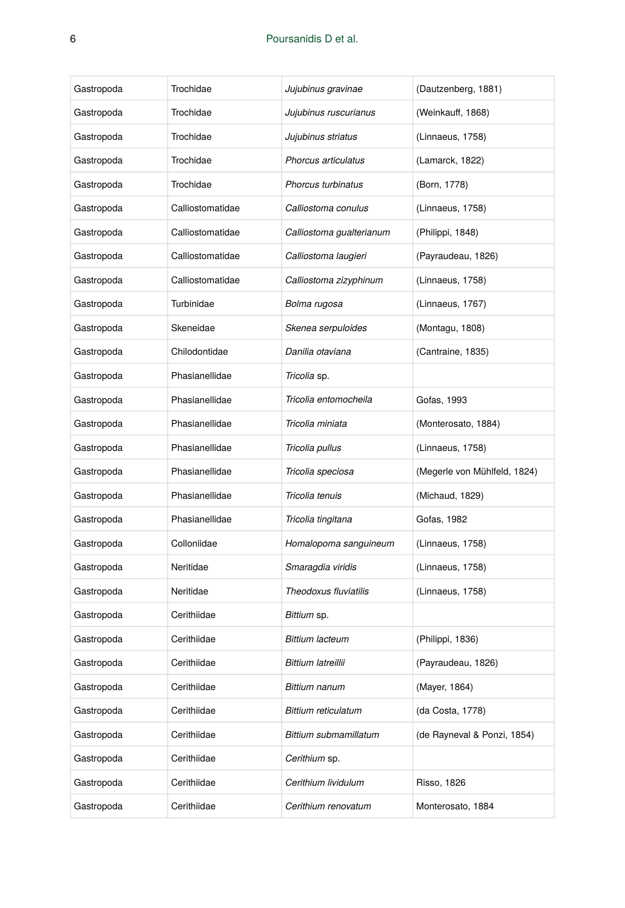| Gastropoda | Trochidae        | Jujubinus gravinae         | (Dautzenberg, 1881)          |
|------------|------------------|----------------------------|------------------------------|
| Gastropoda | Trochidae        | Jujubinus ruscurianus      | (Weinkauff, 1868)            |
| Gastropoda | Trochidae        | Jujubinus striatus         | (Linnaeus, 1758)             |
| Gastropoda | Trochidae        | Phorcus articulatus        | (Lamarck, 1822)              |
| Gastropoda | Trochidae        | Phorcus turbinatus         | (Born, 1778)                 |
| Gastropoda | Calliostomatidae | Calliostoma conulus        | (Linnaeus, 1758)             |
| Gastropoda | Calliostomatidae | Calliostoma qualterianum   | (Philippi, 1848)             |
| Gastropoda | Calliostomatidae | Calliostoma laugieri       | (Payraudeau, 1826)           |
| Gastropoda | Calliostomatidae | Calliostoma zizyphinum     | (Linnaeus, 1758)             |
| Gastropoda | Turbinidae       | Bolma rugosa               | (Linnaeus, 1767)             |
| Gastropoda | Skeneidae        | Skenea serpuloides         | (Montagu, 1808)              |
| Gastropoda | Chilodontidae    | Danilia otaviana           | (Cantraine, 1835)            |
| Gastropoda | Phasianellidae   | Tricolia sp.               |                              |
| Gastropoda | Phasianellidae   | Tricolia entomocheila      | Gofas, 1993                  |
| Gastropoda | Phasianellidae   | Tricolia miniata           | (Monterosato, 1884)          |
| Gastropoda | Phasianellidae   | Tricolia pullus            | (Linnaeus, 1758)             |
| Gastropoda | Phasianellidae   | Tricolia speciosa          | (Megerle von Mühlfeld, 1824) |
| Gastropoda | Phasianellidae   | Tricolia tenuis            | (Michaud, 1829)              |
| Gastropoda | Phasianellidae   | Tricolia tingitana         | Gofas, 1982                  |
| Gastropoda | Colloniidae      | Homalopoma sanguineum      | (Linnaeus, 1758)             |
| Gastropoda | Neritidae        | Smaragdia viridis          | (Linnaeus, 1758)             |
| Gastropoda | Neritidae        | Theodoxus fluviatilis      | (Linnaeus, 1758)             |
| Gastropoda | Cerithiidae      | Bittium sp.                |                              |
| Gastropoda | Cerithiidae      | <b>Bittium lacteum</b>     | (Philippi, 1836)             |
| Gastropoda | Cerithiidae      | <b>Bittium latreillii</b>  | (Payraudeau, 1826)           |
| Gastropoda | Cerithiidae      | Bittium nanum              | (Mayer, 1864)                |
| Gastropoda | Cerithiidae      | <b>Bittium reticulatum</b> | (da Costa, 1778)             |
| Gastropoda | Cerithiidae      | Bittium submamillatum      | (de Rayneval & Ponzi, 1854)  |
| Gastropoda | Cerithiidae      | Cerithium sp.              |                              |
| Gastropoda | Cerithiidae      | Cerithium lividulum        | Risso, 1826                  |
| Gastropoda | Cerithiidae      | Cerithium renovatum        | Monterosato, 1884            |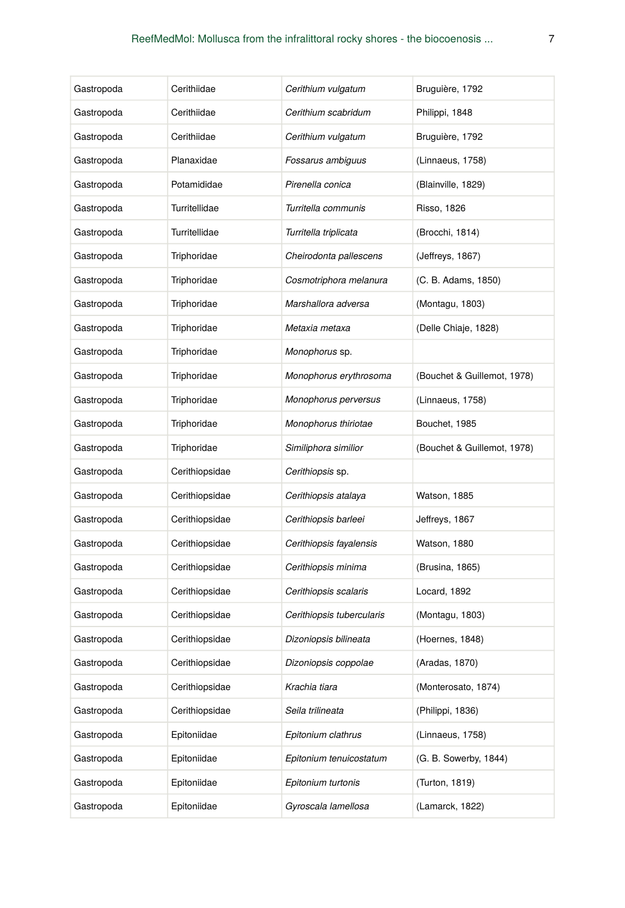| Gastropoda | Cerithiidae    | Cerithium vulgatum        | Bruguière, 1792             |
|------------|----------------|---------------------------|-----------------------------|
| Gastropoda | Cerithiidae    | Cerithium scabridum       | Philippi, 1848              |
| Gastropoda | Cerithiidae    | Cerithium vulgatum        | Bruguière, 1792             |
| Gastropoda | Planaxidae     | Fossarus ambiguus         | (Linnaeus, 1758)            |
| Gastropoda | Potamididae    | Pirenella conica          | (Blainville, 1829)          |
| Gastropoda | Turritellidae  | Turritella communis       | <b>Risso, 1826</b>          |
| Gastropoda | Turritellidae  | Turritella triplicata     | (Brocchi, 1814)             |
| Gastropoda | Triphoridae    | Cheirodonta pallescens    | (Jeffreys, 1867)            |
| Gastropoda | Triphoridae    | Cosmotriphora melanura    | (C. B. Adams, 1850)         |
| Gastropoda | Triphoridae    | Marshallora adversa       | (Montagu, 1803)             |
| Gastropoda | Triphoridae    | Metaxia metaxa            | (Delle Chiaje, 1828)        |
| Gastropoda | Triphoridae    | Monophorus sp.            |                             |
| Gastropoda | Triphoridae    | Monophorus erythrosoma    | (Bouchet & Guillemot, 1978) |
| Gastropoda | Triphoridae    | Monophorus perversus      | (Linnaeus, 1758)            |
| Gastropoda | Triphoridae    | Monophorus thiriotae      | Bouchet, 1985               |
| Gastropoda | Triphoridae    | Similiphora similior      | (Bouchet & Guillemot, 1978) |
| Gastropoda | Cerithiopsidae | Cerithiopsis sp.          |                             |
| Gastropoda | Cerithiopsidae | Cerithiopsis atalaya      | Watson, 1885                |
| Gastropoda | Cerithiopsidae | Cerithiopsis barleei      | Jeffreys, 1867              |
| Gastropoda | Cerithiopsidae | Cerithiopsis fayalensis   | Watson, 1880                |
| Gastropoda | Cerithiopsidae | Cerithiopsis minima       | (Brusina, 1865)             |
| Gastropoda | Cerithiopsidae | Cerithiopsis scalaris     | Locard, 1892                |
| Gastropoda | Cerithiopsidae | Cerithiopsis tubercularis | (Montagu, 1803)             |
| Gastropoda | Cerithiopsidae | Dizoniopsis bilineata     | (Hoernes, 1848)             |
| Gastropoda | Cerithiopsidae | Dizoniopsis coppolae      | (Aradas, 1870)              |
| Gastropoda | Cerithiopsidae | Krachia tiara             | (Monterosato, 1874)         |
| Gastropoda | Cerithiopsidae | Seila trilineata          | (Philippi, 1836)            |
| Gastropoda | Epitoniidae    | Epitonium clathrus        | (Linnaeus, 1758)            |
| Gastropoda | Epitoniidae    | Epitonium tenuicostatum   | (G. B. Sowerby, 1844)       |
| Gastropoda | Epitoniidae    | Epitonium turtonis        | (Turton, 1819)              |
| Gastropoda | Epitoniidae    | Gyroscala lamellosa       | (Lamarck, 1822)             |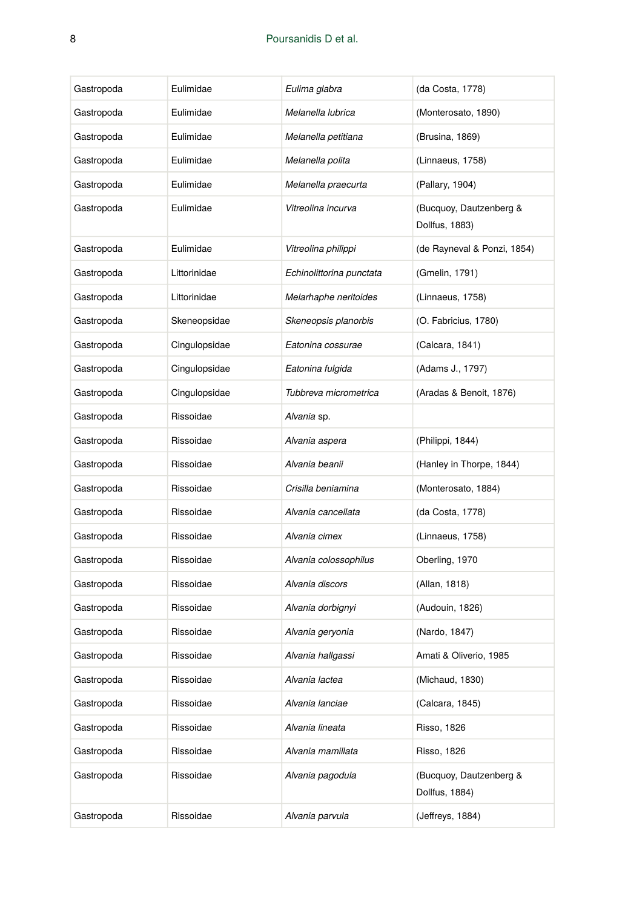| Gastropoda | Eulimidae     | Eulima glabra            | (da Costa, 1778)                          |
|------------|---------------|--------------------------|-------------------------------------------|
| Gastropoda | Eulimidae     | Melanella lubrica        | (Monterosato, 1890)                       |
| Gastropoda | Eulimidae     | Melanella petitiana      | (Brusina, 1869)                           |
| Gastropoda | Eulimidae     | Melanella polita         | (Linnaeus, 1758)                          |
| Gastropoda | Eulimidae     | Melanella praecurta      | (Pallary, 1904)                           |
| Gastropoda | Eulimidae     | Vitreolina incurva       | (Bucquoy, Dautzenberg &<br>Dollfus, 1883) |
| Gastropoda | Eulimidae     | Vitreolina philippi      | (de Rayneval & Ponzi, 1854)               |
| Gastropoda | Littorinidae  | Echinolittorina punctata | (Gmelin, 1791)                            |
| Gastropoda | Littorinidae  | Melarhaphe neritoides    | (Linnaeus, 1758)                          |
| Gastropoda | Skeneopsidae  | Skeneopsis planorbis     | (O. Fabricius, 1780)                      |
| Gastropoda | Cingulopsidae | Eatonina cossurae        | (Calcara, 1841)                           |
| Gastropoda | Cingulopsidae | Eatonina fulgida         | (Adams J., 1797)                          |
| Gastropoda | Cingulopsidae | Tubbreva micrometrica    | (Aradas & Benoit, 1876)                   |
| Gastropoda | Rissoidae     | Alvania sp.              |                                           |
| Gastropoda | Rissoidae     | Alvania aspera           | (Philippi, 1844)                          |
| Gastropoda | Rissoidae     | Alvania beanii           | (Hanley in Thorpe, 1844)                  |
| Gastropoda | Rissoidae     | Crisilla beniamina       | (Monterosato, 1884)                       |
| Gastropoda | Rissoidae     | Alvania cancellata       | (da Costa, 1778)                          |
| Gastropoda | Rissoidae     | Alvania cimex            | (Linnaeus, 1758)                          |
| Gastropoda | Rissoidae     | Alvania colossophilus    | Oberling, 1970                            |
| Gastropoda | Rissoidae     | Alvania discors          | (Allan, 1818)                             |
| Gastropoda | Rissoidae     | Alvania dorbignyi        | (Audouin, 1826)                           |
| Gastropoda | Rissoidae     | Alvania geryonia         | (Nardo, 1847)                             |
| Gastropoda | Rissoidae     | Alvania hallgassi        | Amati & Oliverio, 1985                    |
| Gastropoda | Hissoidae     | Alvania lactea           | (Michaud, 1830)                           |
| Gastropoda | Rissoidae     | Alvania lanciae          | (Calcara, 1845)                           |
| Gastropoda | Rissoidae     | Alvania lineata          | Risso, 1826                               |
| Gastropoda | Rissoidae     | Alvania mamillata        | Risso, 1826                               |
| Gastropoda | Rissoidae     | Alvania pagodula         | (Bucquoy, Dautzenberg &<br>Dollfus, 1884) |
| Gastropoda | Rissoidae     | Alvania parvula          | (Jeffreys, 1884)                          |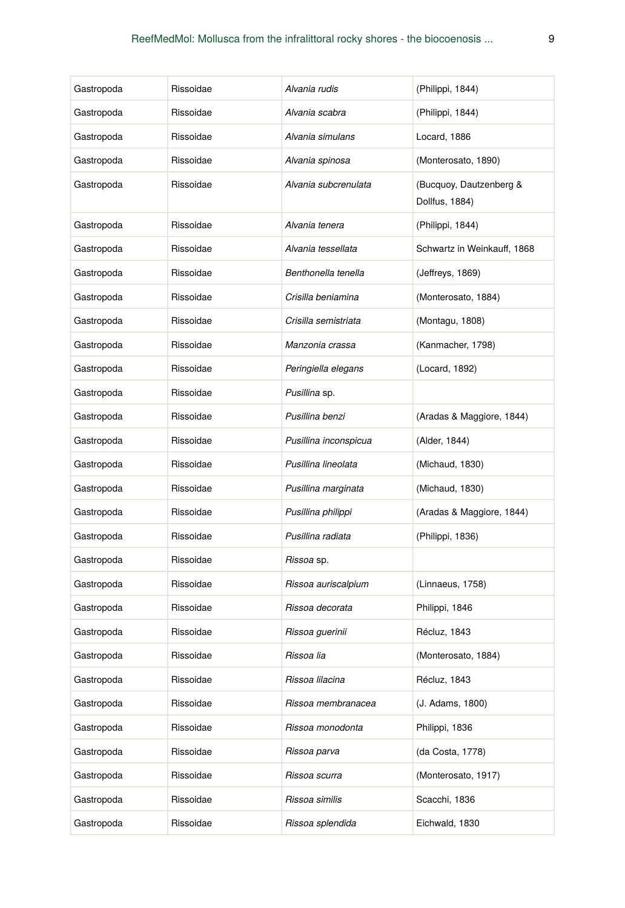| Gastropoda | Rissoidae | Alvania rudis         | (Philippi, 1844)                          |
|------------|-----------|-----------------------|-------------------------------------------|
| Gastropoda | Rissoidae | Alvania scabra        | (Philippi, 1844)                          |
| Gastropoda | Rissoidae | Alvania simulans      | Locard, 1886                              |
| Gastropoda | Rissoidae | Alvania spinosa       | (Monterosato, 1890)                       |
| Gastropoda | Rissoidae | Alvania subcrenulata  | (Bucquoy, Dautzenberg &<br>Dollfus, 1884) |
| Gastropoda | Rissoidae | Alvania tenera        | (Philippi, 1844)                          |
| Gastropoda | Rissoidae | Alvania tessellata    | Schwartz in Weinkauff, 1868               |
| Gastropoda | Rissoidae | Benthonella tenella   | (Jeffreys, 1869)                          |
| Gastropoda | Rissoidae | Crisilla beniamina    | (Monterosato, 1884)                       |
| Gastropoda | Rissoidae | Crisilla semistriata  | (Montagu, 1808)                           |
| Gastropoda | Rissoidae | Manzonia crassa       | (Kanmacher, 1798)                         |
| Gastropoda | Rissoidae | Peringiella elegans   | (Locard, 1892)                            |
| Gastropoda | Rissoidae | Pusillina sp.         |                                           |
| Gastropoda | Rissoidae | Pusillina benzi       | (Aradas & Maggiore, 1844)                 |
| Gastropoda | Rissoidae | Pusillina inconspicua | (Alder, 1844)                             |
| Gastropoda | Rissoidae | Pusillina lineolata   | (Michaud, 1830)                           |
| Gastropoda | Rissoidae | Pusillina marginata   | (Michaud, 1830)                           |
| Gastropoda | Rissoidae | Pusillina philippi    | (Aradas & Maggiore, 1844)                 |
| Gastropoda | Rissoidae | Pusillina radiata     | (Philippi, 1836)                          |
| Gastropoda | Rissoidae | <i>Rissoa</i> sp.     |                                           |
| Gastropoda | Rissoidae | Rissoa auriscalpium   | (Linnaeus, 1758)                          |
| Gastropoda | Rissoidae | Rissoa decorata       | Philippi, 1846                            |
| Gastropoda | Rissoidae | Rissoa guerinii       | Récluz, 1843                              |
| Gastropoda | Rissoidae | Rissoa lia            | (Monterosato, 1884)                       |
| Gastropoda | Rissoidae | Rissoa lilacina       | Récluz, 1843                              |
| Gastropoda | Rissoidae | Rissoa membranacea    | (J. Adams, 1800)                          |
| Gastropoda | Rissoidae | Rissoa monodonta      | Philippi, 1836                            |
| Gastropoda | Rissoidae | Rissoa parva          | (da Costa, 1778)                          |
| Gastropoda | Rissoidae | Rissoa scurra         | (Monterosato, 1917)                       |
| Gastropoda | Rissoidae | Rissoa similis        | Scacchi, 1836                             |
| Gastropoda | Rissoidae | Rissoa splendida      | Eichwald, 1830                            |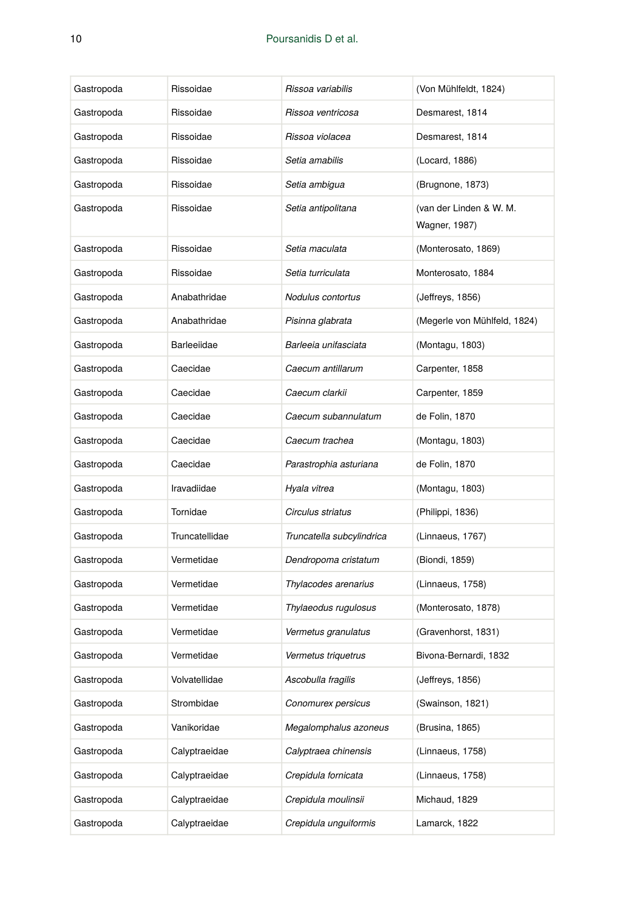| Gastropoda | Rissoidae      | Rissoa variabilis         | (Von Mühlfeldt, 1824)                    |
|------------|----------------|---------------------------|------------------------------------------|
| Gastropoda | Rissoidae      | Rissoa ventricosa         | Desmarest, 1814                          |
| Gastropoda | Rissoidae      | Rissoa violacea           | Desmarest, 1814                          |
| Gastropoda | Rissoidae      | Setia amabilis            | (Locard, 1886)                           |
| Gastropoda | Rissoidae      | Setia ambigua             | (Brugnone, 1873)                         |
| Gastropoda | Rissoidae      | Setia antipolitana        | (van der Linden & W. M.<br>Wagner, 1987) |
| Gastropoda | Rissoidae      | Setia maculata            | (Monterosato, 1869)                      |
| Gastropoda | Rissoidae      | Setia turriculata         | Monterosato, 1884                        |
| Gastropoda | Anabathridae   | Nodulus contortus         | (Jeffreys, 1856)                         |
| Gastropoda | Anabathridae   | Pisinna glabrata          | (Megerle von Mühlfeld, 1824)             |
| Gastropoda | Barleeiidae    | Barleeia unifasciata      | (Montagu, 1803)                          |
| Gastropoda | Caecidae       | Caecum antillarum         | Carpenter, 1858                          |
| Gastropoda | Caecidae       | Caecum clarkii            | Carpenter, 1859                          |
| Gastropoda | Caecidae       | Caecum subannulatum       | de Folin, 1870                           |
| Gastropoda | Caecidae       | Caecum trachea            | (Montagu, 1803)                          |
| Gastropoda | Caecidae       | Parastrophia asturiana    | de Folin, 1870                           |
| Gastropoda | Iravadiidae    | Hyala vitrea              | (Montagu, 1803)                          |
| Gastropoda | Tornidae       | Circulus striatus         | (Philippi, 1836)                         |
| Gastropoda | Truncatellidae | Truncatella subcylindrica | (Linnaeus, 1767)                         |
| Gastropoda | Vermetidae     | Dendropoma cristatum      | (Biondi, 1859)                           |
| Gastropoda | Vermetidae     | Thylacodes arenarius      | (Linnaeus, 1758)                         |
| Gastropoda | Vermetidae     | Thylaeodus rugulosus      | (Monterosato, 1878)                      |
| Gastropoda | Vermetidae     | Vermetus granulatus       | (Gravenhorst, 1831)                      |
| Gastropoda | Vermetidae     | Vermetus triquetrus       | Bivona-Bernardi, 1832                    |
| Gastropoda | Volvatellidae  | Ascobulla fragilis        | (Jeffreys, 1856)                         |
| Gastropoda | Strombidae     | Conomurex persicus        | (Swainson, 1821)                         |
| Gastropoda | Vanikoridae    | Megalomphalus azoneus     | (Brusina, 1865)                          |
| Gastropoda | Calyptraeidae  | Calyptraea chinensis      | (Linnaeus, 1758)                         |
| Gastropoda | Calyptraeidae  | Crepidula fornicata       | (Linnaeus, 1758)                         |
| Gastropoda | Calyptraeidae  | Crepidula moulinsii       | Michaud, 1829                            |
| Gastropoda | Calyptraeidae  | Crepidula unquiformis     | Lamarck, 1822                            |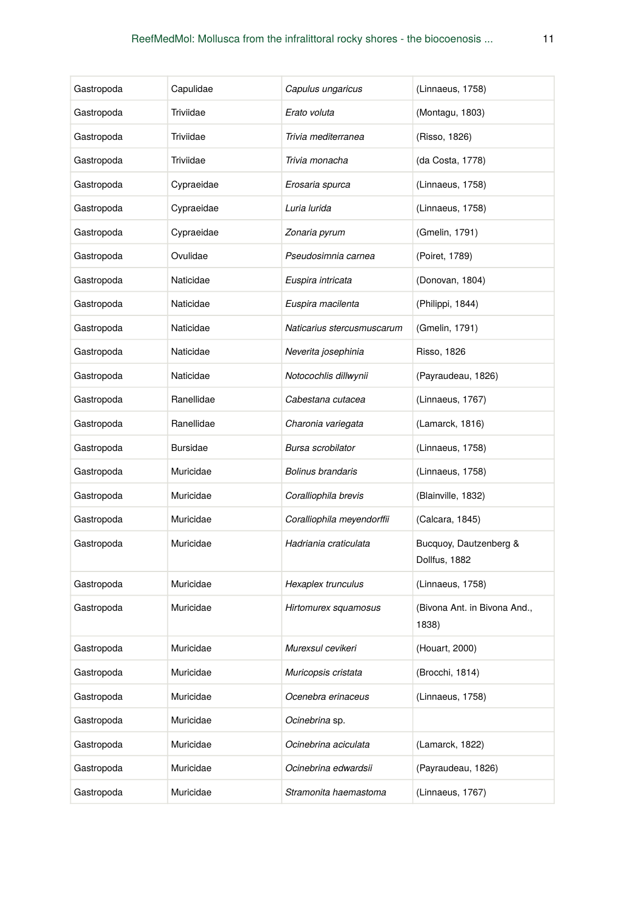| Gastropoda | Capulidae       | Capulus ungaricus          | (Linnaeus, 1758)                        |
|------------|-----------------|----------------------------|-----------------------------------------|
| Gastropoda | Triviidae       | Erato voluta               | (Montagu, 1803)                         |
| Gastropoda | Triviidae       | Trivia mediterranea        | (Risso, 1826)                           |
| Gastropoda | Triviidae       | Trivia monacha             | (da Costa, 1778)                        |
| Gastropoda | Cypraeidae      | Erosaria spurca            | (Linnaeus, 1758)                        |
| Gastropoda | Cypraeidae      | Luria lurida               | (Linnaeus, 1758)                        |
| Gastropoda | Cypraeidae      | Zonaria pyrum              | (Gmelin, 1791)                          |
| Gastropoda | Ovulidae        | Pseudosimnia carnea        | (Poiret, 1789)                          |
| Gastropoda | Naticidae       | Euspira intricata          | (Donovan, 1804)                         |
| Gastropoda | Naticidae       | Euspira macilenta          | (Philippi, 1844)                        |
| Gastropoda | Naticidae       | Naticarius stercusmuscarum | (Gmelin, 1791)                          |
| Gastropoda | Naticidae       | Neverita josephinia        | <b>Risso, 1826</b>                      |
| Gastropoda | Naticidae       | Notocochlis dillwynii      | (Payraudeau, 1826)                      |
| Gastropoda | Ranellidae      | Cabestana cutacea          | (Linnaeus, 1767)                        |
| Gastropoda | Ranellidae      | Charonia variegata         | (Lamarck, 1816)                         |
| Gastropoda | <b>Bursidae</b> | Bursa scrobilator          | (Linnaeus, 1758)                        |
| Gastropoda | Muricidae       | Bolinus brandaris          | (Linnaeus, 1758)                        |
| Gastropoda | Muricidae       | Coralliophila brevis       | (Blainville, 1832)                      |
| Gastropoda | Muricidae       | Coralliophila meyendorffii | (Calcara, 1845)                         |
| Gastropoda | Muricidae       | Hadriania craticulata      | Bucquoy, Dautzenberg &<br>Dollfus, 1882 |
| Gastropoda | Muricidae       | Hexaplex trunculus         | (Linnaeus, 1758)                        |
| Gastropoda | Muricidae       | Hirtomurex squamosus       | (Bivona Ant. in Bivona And.,<br>1838)   |
| Gastropoda | Muricidae       | Murexsul cevikeri          | (Houart, 2000)                          |
| Gastropoda | Muricidae       | Muricopsis cristata        | (Brocchi, 1814)                         |
| Gastropoda | Muricidae       | Ocenebra erinaceus         | (Linnaeus, 1758)                        |
| Gastropoda | Muricidae       | Ocinebrina sp.             |                                         |
| Gastropoda | Muricidae       | Ocinebrina aciculata       | (Lamarck, 1822)                         |
| Gastropoda | Muricidae       | Ocinebrina edwardsii       | (Payraudeau, 1826)                      |
| Gastropoda | Muricidae       | Stramonita haemastoma      | (Linnaeus, 1767)                        |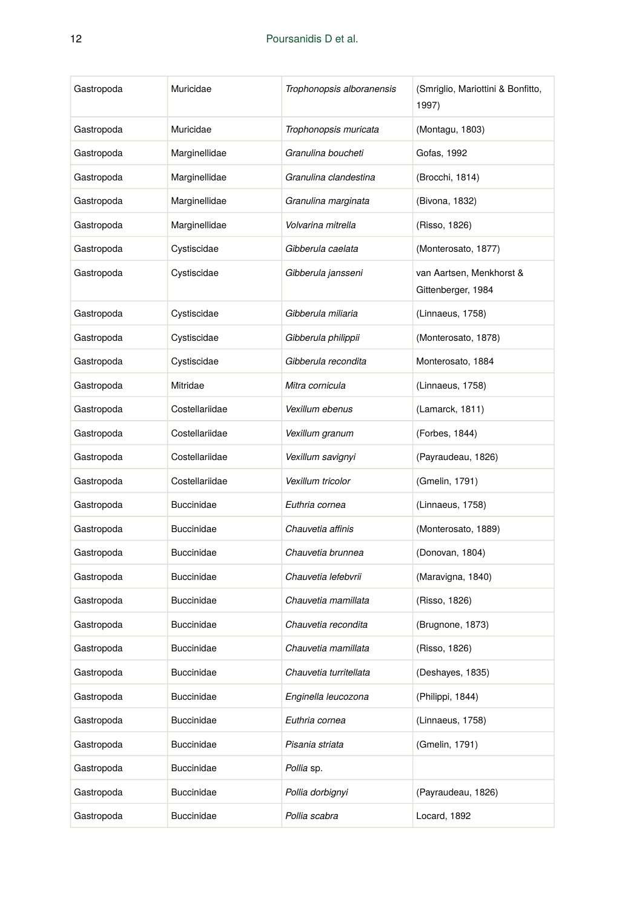| Gastropoda | Muricidae         | Trophonopsis alboranensis | (Smriglio, Mariottini & Bonfitto,<br>1997)     |
|------------|-------------------|---------------------------|------------------------------------------------|
| Gastropoda | Muricidae         | Trophonopsis muricata     | (Montagu, 1803)                                |
| Gastropoda | Marginellidae     | Granulina boucheti        | Gofas, 1992                                    |
| Gastropoda | Marginellidae     | Granulina clandestina     | (Brocchi, 1814)                                |
| Gastropoda | Marginellidae     | Granulina marginata       | (Bivona, 1832)                                 |
| Gastropoda | Marginellidae     | Volvarina mitrella        | (Risso, 1826)                                  |
| Gastropoda | Cystiscidae       | Gibberula caelata         | (Monterosato, 1877)                            |
| Gastropoda | Cystiscidae       | Gibberula jansseni        | van Aartsen, Menkhorst &<br>Gittenberger, 1984 |
| Gastropoda | Cystiscidae       | Gibberula miliaria        | (Linnaeus, 1758)                               |
| Gastropoda | Cystiscidae       | Gibberula philippii       | (Monterosato, 1878)                            |
| Gastropoda | Cystiscidae       | Gibberula recondita       | Monterosato, 1884                              |
| Gastropoda | Mitridae          | Mitra cornicula           | (Linnaeus, 1758)                               |
| Gastropoda | Costellariidae    | Vexillum ebenus           | (Lamarck, 1811)                                |
| Gastropoda | Costellariidae    | Vexillum granum           | (Forbes, 1844)                                 |
| Gastropoda | Costellariidae    | Vexillum savignyi         | (Payraudeau, 1826)                             |
| Gastropoda | Costellariidae    | Vexillum tricolor         | (Gmelin, 1791)                                 |
| Gastropoda | <b>Buccinidae</b> | Euthria cornea            | (Linnaeus, 1758)                               |
| Gastropoda | <b>Buccinidae</b> | Chauvetia affinis         | (Monterosato, 1889)                            |
| Gastropoda | <b>Buccinidae</b> | Chauvetia brunnea         | (Donovan, 1804)                                |
| Gastropoda | <b>Buccinidae</b> | Chauvetia lefebvrii       | (Maravigna, 1840)                              |
| Gastropoda | <b>Buccinidae</b> | Chauvetia mamillata       | (Risso, 1826)                                  |
| Gastropoda | <b>Buccinidae</b> | Chauvetia recondita       | (Brugnone, 1873)                               |
| Gastropoda | <b>Buccinidae</b> | Chauvetia mamillata       | (Risso, 1826)                                  |
| Gastropoda | Buccinidae        | Chauvetia turritellata    | (Deshayes, 1835)                               |
| Gastropoda | Buccinidae        | Enginella leucozona       | (Philippi, 1844)                               |
| Gastropoda | Buccinidae        | Euthria cornea            | (Linnaeus, 1758)                               |
| Gastropoda | Buccinidae        | Pisania striata           | (Gmelin, 1791)                                 |
| Gastropoda | Buccinidae        | Pollia sp.                |                                                |
| Gastropoda | Buccinidae        | Pollia dorbignyi          | (Payraudeau, 1826)                             |
| Gastropoda | <b>Buccinidae</b> | Pollia scabra             | Locard, 1892                                   |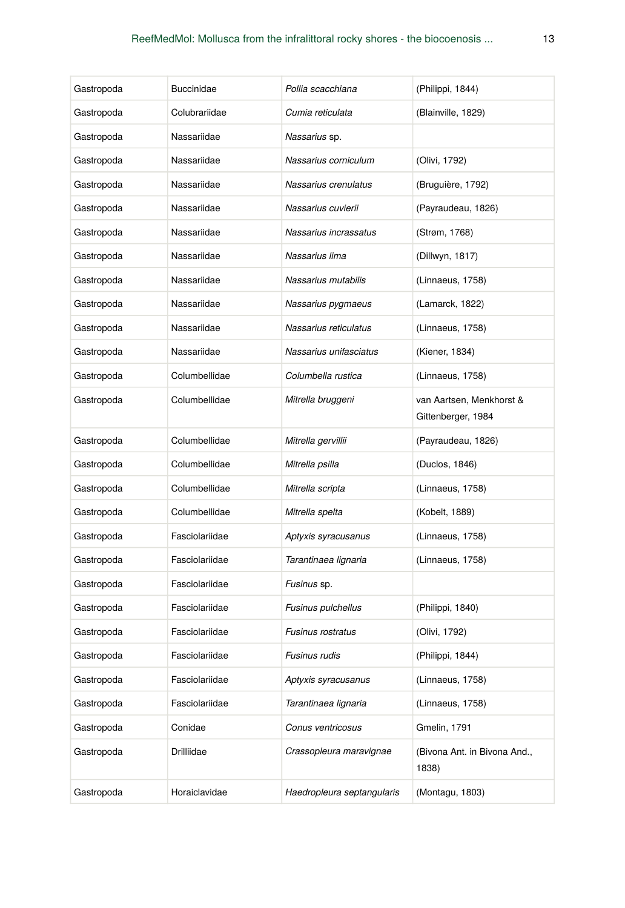| Gastropoda | <b>Buccinidae</b> | Pollia scacchiana          | (Philippi, 1844)                               |
|------------|-------------------|----------------------------|------------------------------------------------|
| Gastropoda | Colubrariidae     | Cumia reticulata           | (Blainville, 1829)                             |
| Gastropoda | Nassariidae       | Nassarius sp.              |                                                |
| Gastropoda | Nassariidae       | Nassarius corniculum       | (Olivi, 1792)                                  |
| Gastropoda | Nassariidae       | Nassarius crenulatus       | (Bruguière, 1792)                              |
| Gastropoda | Nassariidae       | Nassarius cuvierii         | (Payraudeau, 1826)                             |
| Gastropoda | Nassariidae       | Nassarius incrassatus      | (Strøm, 1768)                                  |
| Gastropoda | Nassariidae       | Nassarius lima             | (Dillwyn, 1817)                                |
| Gastropoda | Nassariidae       | Nassarius mutabilis        | (Linnaeus, 1758)                               |
| Gastropoda | Nassariidae       | Nassarius pygmaeus         | (Lamarck, 1822)                                |
| Gastropoda | Nassariidae       | Nassarius reticulatus      | (Linnaeus, 1758)                               |
| Gastropoda | Nassariidae       | Nassarius unifasciatus     | (Kiener, 1834)                                 |
| Gastropoda | Columbellidae     | Columbella rustica         | (Linnaeus, 1758)                               |
| Gastropoda | Columbellidae     | Mitrella bruggeni          | van Aartsen, Menkhorst &<br>Gittenberger, 1984 |
| Gastropoda | Columbellidae     | Mitrella gervillii         | (Payraudeau, 1826)                             |
| Gastropoda | Columbellidae     | Mitrella psilla            | (Duclos, 1846)                                 |
| Gastropoda | Columbellidae     | Mitrella scripta           | (Linnaeus, 1758)                               |
| Gastropoda | Columbellidae     | Mitrella spelta            | (Kobelt, 1889)                                 |
| Gastropoda | Fasciolariidae    | Aptyxis syracusanus        | (Linnaeus, 1758)                               |
| Gastropoda | Fasciolariidae    | Tarantinaea lignaria       | (Linnaeus, 1758)                               |
| Gastropoda | Fasciolariidae    | <i>Fusinus</i> sp.         |                                                |
| Gastropoda | Fasciolariidae    | Fusinus pulchellus         | (Philippi, 1840)                               |
| Gastropoda | Fasciolariidae    | <b>Fusinus rostratus</b>   | (Olivi, 1792)                                  |
| Gastropoda | Fasciolariidae    | Fusinus rudis              | (Philippi, 1844)                               |
| Gastropoda | Fasciolariidae    | Aptyxis syracusanus        | (Linnaeus, 1758)                               |
| Gastropoda | Fasciolariidae    | Tarantinaea lignaria       | (Linnaeus, 1758)                               |
| Gastropoda | Conidae           | Conus ventricosus          | Gmelin, 1791                                   |
| Gastropoda | Drilliidae        | Crassopleura maravignae    | (Bivona Ant. in Bivona And.,<br>1838)          |
| Gastropoda | Horaiclavidae     | Haedropleura septangularis | (Montagu, 1803)                                |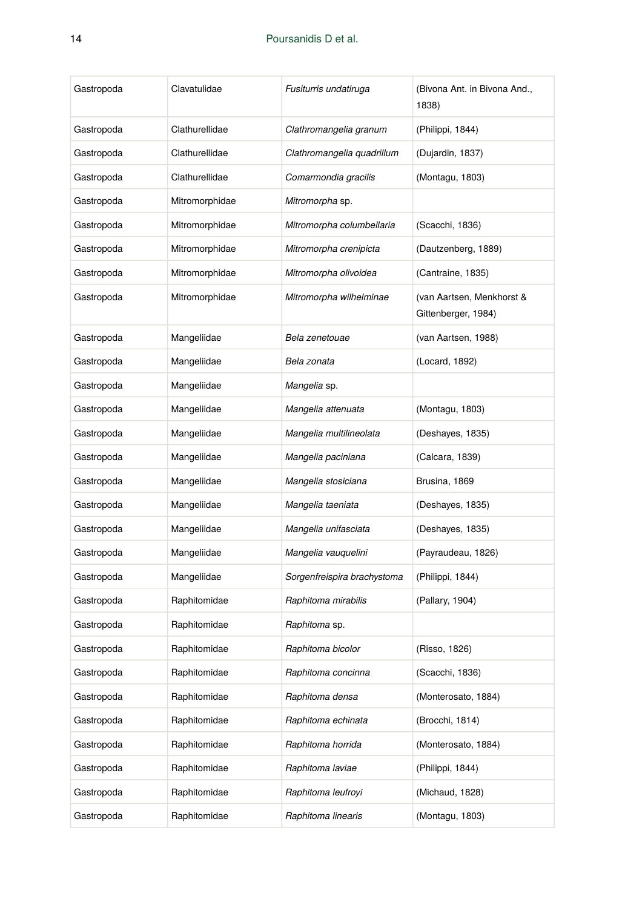| Gastropoda | Clavatulidae   | Fusiturris undatiruga       | (Bivona Ant. in Bivona And.,<br>1838)            |
|------------|----------------|-----------------------------|--------------------------------------------------|
| Gastropoda | Clathurellidae | Clathromangelia granum      | (Philippi, 1844)                                 |
| Gastropoda | Clathurellidae | Clathromangelia quadrillum  | (Dujardin, 1837)                                 |
| Gastropoda | Clathurellidae | Comarmondia gracilis        | (Montagu, 1803)                                  |
| Gastropoda | Mitromorphidae | Mitromorpha sp.             |                                                  |
| Gastropoda | Mitromorphidae | Mitromorpha columbellaria   | (Scacchi, 1836)                                  |
| Gastropoda | Mitromorphidae | Mitromorpha crenipicta      | (Dautzenberg, 1889)                              |
| Gastropoda | Mitromorphidae | Mitromorpha olivoidea       | (Cantraine, 1835)                                |
| Gastropoda | Mitromorphidae | Mitromorpha wilhelminae     | (van Aartsen, Menkhorst &<br>Gittenberger, 1984) |
| Gastropoda | Mangeliidae    | Bela zenetouae              | (van Aartsen, 1988)                              |
| Gastropoda | Mangeliidae    | Bela zonata                 | (Locard, 1892)                                   |
| Gastropoda | Mangeliidae    | Mangelia sp.                |                                                  |
| Gastropoda | Mangeliidae    | Mangelia attenuata          | (Montagu, 1803)                                  |
| Gastropoda | Mangeliidae    | Mangelia multilineolata     | (Deshayes, 1835)                                 |
| Gastropoda | Mangeliidae    | Mangelia paciniana          | (Calcara, 1839)                                  |
| Gastropoda | Mangeliidae    | Mangelia stosiciana         | Brusina, 1869                                    |
| Gastropoda | Mangeliidae    | Mangelia taeniata           | (Deshayes, 1835)                                 |
| Gastropoda | Mangeliidae    | Mangelia unifasciata        | (Deshayes, 1835)                                 |
| Gastropoda | Mangeliidae    | Mangelia vauquelini         | (Payraudeau, 1826)                               |
| Gastropoda | Mangeliidae    | Sorgenfreispira brachystoma | (Philippi, 1844)                                 |
| Gastropoda | Raphitomidae   | Raphitoma mirabilis         | (Pallary, 1904)                                  |
| Gastropoda | Raphitomidae   | Raphitoma sp.               |                                                  |
| Gastropoda | Raphitomidae   | Raphitoma bicolor           | (Risso, 1826)                                    |
| Gastropoda | Raphitomidae   | Raphitoma concinna          | (Scacchi, 1836)                                  |
| Gastropoda | Raphitomidae   | Raphitoma densa             | (Monterosato, 1884)                              |
| Gastropoda | Raphitomidae   | Raphitoma echinata          | (Brocchi, 1814)                                  |
| Gastropoda | Raphitomidae   | Raphitoma horrida           | (Monterosato, 1884)                              |
| Gastropoda | Raphitomidae   | Raphitoma laviae            | (Philippi, 1844)                                 |
| Gastropoda | Raphitomidae   | Raphitoma leufroyi          | (Michaud, 1828)                                  |
| Gastropoda | Raphitomidae   | Raphitoma linearis          | (Montagu, 1803)                                  |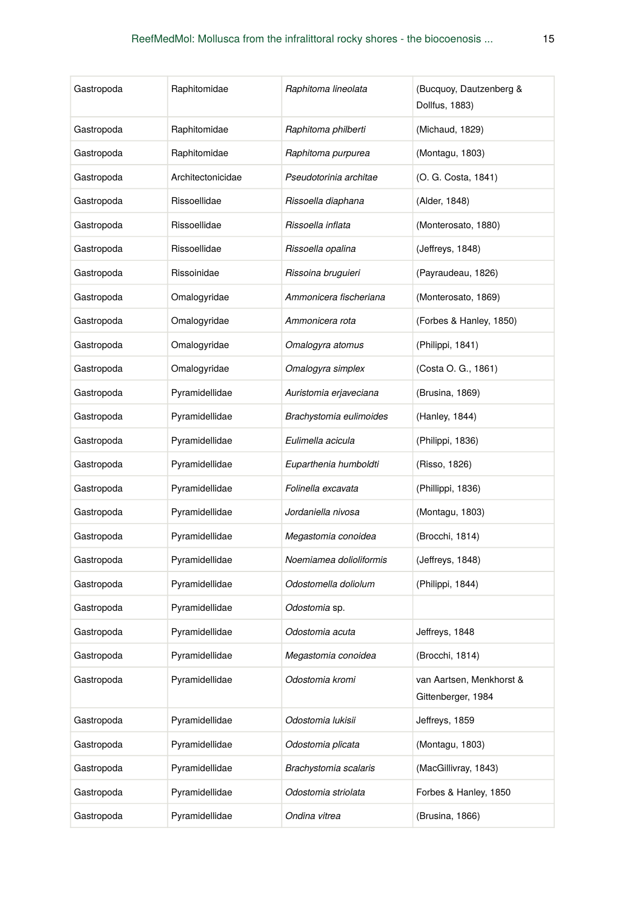| Gastropoda | Raphitomidae      | Raphitoma lineolata     | (Bucquoy, Dautzenberg &<br>Dollfus, 1883)      |
|------------|-------------------|-------------------------|------------------------------------------------|
| Gastropoda | Raphitomidae      | Raphitoma philberti     | (Michaud, 1829)                                |
| Gastropoda | Raphitomidae      | Raphitoma purpurea      | (Montagu, 1803)                                |
| Gastropoda | Architectonicidae | Pseudotorinia architae  | (O. G. Costa, 1841)                            |
| Gastropoda | Rissoellidae      | Rissoella diaphana      | (Alder, 1848)                                  |
| Gastropoda | Rissoellidae      | Rissoella inflata       | (Monterosato, 1880)                            |
| Gastropoda | Rissoellidae      | Rissoella opalina       | (Jeffreys, 1848)                               |
| Gastropoda | Rissoinidae       | Rissoina bruguieri      | (Payraudeau, 1826)                             |
| Gastropoda | Omalogyridae      | Ammonicera fischeriana  | (Monterosato, 1869)                            |
| Gastropoda | Omalogyridae      | Ammonicera rota         | (Forbes & Hanley, 1850)                        |
| Gastropoda | Omalogyridae      | Omalogyra atomus        | (Philippi, 1841)                               |
| Gastropoda | Omalogyridae      | Omalogyra simplex       | (Costa O. G., 1861)                            |
| Gastropoda | Pyramidellidae    | Auristomia erjaveciana  | (Brusina, 1869)                                |
| Gastropoda | Pyramidellidae    | Brachystomia eulimoides | (Hanley, 1844)                                 |
| Gastropoda | Pyramidellidae    | Eulimella acicula       | (Philippi, 1836)                               |
| Gastropoda | Pyramidellidae    | Euparthenia humboldti   | (Risso, 1826)                                  |
| Gastropoda | Pyramidellidae    | Folinella excavata      | (Phillippi, 1836)                              |
| Gastropoda | Pyramidellidae    | Jordaniella nivosa      | (Montagu, 1803)                                |
| Gastropoda | Pyramidellidae    | Megastomia conoidea     | (Brocchi, 1814)                                |
| Gastropoda | Pyramidellidae    | Noemiamea dolioliformis | (Jeffreys, 1848)                               |
| Gastropoda | Pyramidellidae    | Odostomella doliolum    | (Philippi, 1844)                               |
| Gastropoda | Pyramidellidae    | Odostomia sp.           |                                                |
| Gastropoda | Pyramidellidae    | Odostomia acuta         | Jeffreys, 1848                                 |
| Gastropoda | Pyramidellidae    | Megastomia conoidea     | (Brocchi, 1814)                                |
| Gastropoda | Pyramidellidae    | Odostomia kromi         | van Aartsen, Menkhorst &<br>Gittenberger, 1984 |
| Gastropoda | Pyramidellidae    | Odostomia lukisii       | Jeffreys, 1859                                 |
| Gastropoda | Pyramidellidae    | Odostomia plicata       | (Montagu, 1803)                                |
| Gastropoda | Pyramidellidae    | Brachystomia scalaris   | (MacGillivray, 1843)                           |
| Gastropoda | Pyramidellidae    | Odostomia striolata     | Forbes & Hanley, 1850                          |
| Gastropoda | Pyramidellidae    | Ondina vitrea           | (Brusina, 1866)                                |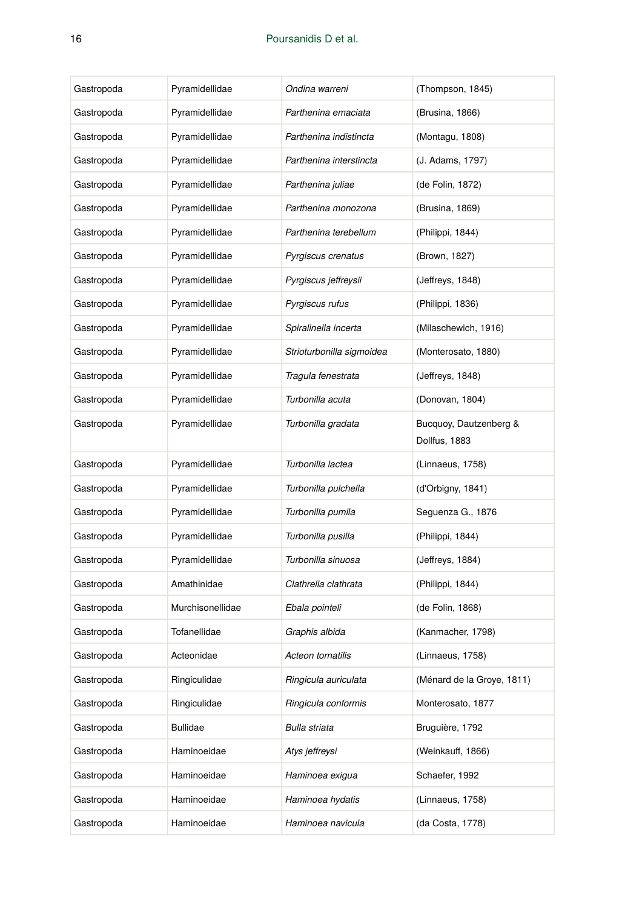| Gastropoda | Pyramidellidae   | Ondina warreni            | (Thompson, 1845)                        |
|------------|------------------|---------------------------|-----------------------------------------|
| Gastropoda | Pyramidellidae   | Parthenina emaciata       | (Brusina, 1866)                         |
| Gastropoda | Pyramidellidae   | Parthenina indistincta    | (Montagu, 1808)                         |
| Gastropoda | Pyramidellidae   | Parthenina interstincta   | (J. Adams, 1797)                        |
| Gastropoda | Pyramidellidae   | Parthenina juliae         | (de Folin, 1872)                        |
| Gastropoda | Pyramidellidae   | Parthenina monozona       | (Brusina, 1869)                         |
| Gastropoda | Pyramidellidae   | Parthenina terebellum     | (Philippi, 1844)                        |
| Gastropoda | Pyramidellidae   | Pyrgiscus crenatus        | (Brown, 1827)                           |
| Gastropoda | Pyramidellidae   | Pyrgiscus jeffreysii      | (Jeffreys, 1848)                        |
| Gastropoda | Pyramidellidae   | Pyrgiscus rufus           | (Philippi, 1836)                        |
| Gastropoda | Pyramidellidae   | Spiralinella incerta      | (Milaschewich, 1916)                    |
| Gastropoda | Pyramidellidae   | Strioturbonilla sigmoidea | (Monterosato, 1880)                     |
| Gastropoda | Pyramidellidae   | Tragula fenestrata        | (Jeffreys, 1848)                        |
| Gastropoda | Pyramidellidae   | Turbonilla acuta          | (Donovan, 1804)                         |
| Gastropoda | Pyramidellidae   | Turbonilla gradata        | Bucquoy, Dautzenberg &<br>Dollfus, 1883 |
| Gastropoda | Pyramidellidae   | Turbonilla lactea         | (Linnaeus, 1758)                        |
| Gastropoda | Pyramidellidae   | Turbonilla pulchella      | (d'Orbigny, 1841)                       |
| Gastropoda | Pyramidellidae   | Turbonilla pumila         | Seguenza G., 1876                       |
| Gastropoda | Pyramidellidae   | Turbonilla pusilla        | (Philippi, 1844)                        |
| Gastropoda | Pyramidellidae   | Turbonilla sinuosa        | (Jeffreys, 1884)                        |
| Gastropoda | Amathinidae      | Clathrella clathrata      | (Philippi, 1844)                        |
| Gastropoda | Murchisonellidae | Ebala pointeli            | (de Folin, 1868)                        |
| Gastropoda | Tofanellidae     | Graphis albida            | (Kanmacher, 1798)                       |
| Gastropoda | Acteonidae       | Acteon tornatilis         | (Linnaeus, 1758)                        |
| Gastropoda | Ringiculidae     | Ringicula auriculata      | (Ménard de la Groye, 1811)              |
| Gastropoda | Ringiculidae     | Ringicula conformis       | Monterosato, 1877                       |
| Gastropoda | <b>Bullidae</b>  | <b>Bulla striata</b>      | Bruguière, 1792                         |
| Gastropoda | Haminoeidae      | Atys jeffreysi            | (Weinkauff, 1866)                       |
| Gastropoda | Haminoeidae      | Haminoea exigua           | Schaefer, 1992                          |
| Gastropoda | Haminoeidae      | Haminoea hydatis          | (Linnaeus, 1758)                        |
| Gastropoda | Haminoeidae      | Haminoea navicula         | (da Costa, 1778)                        |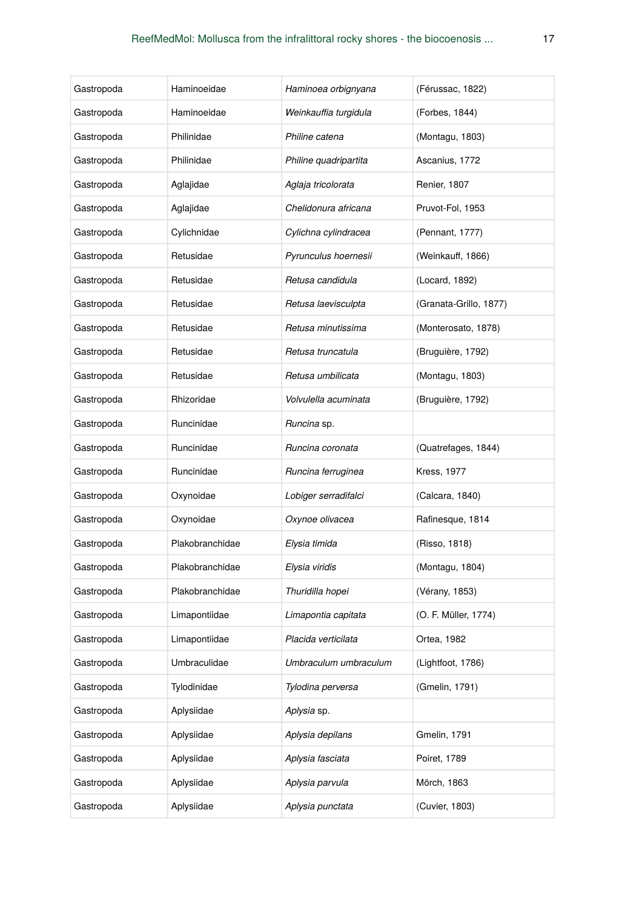| Gastropoda | Haminoeidae     | Haminoea orbignyana   | (Férussac, 1822)       |
|------------|-----------------|-----------------------|------------------------|
| Gastropoda | Haminoeidae     | Weinkauffia turgidula | (Forbes, 1844)         |
| Gastropoda | Philinidae      | Philine catena        | (Montagu, 1803)        |
| Gastropoda | Philinidae      | Philine quadripartita | Ascanius, 1772         |
| Gastropoda | Aglajidae       | Aglaja tricolorata    | Renier, 1807           |
| Gastropoda | Aglajidae       | Chelidonura africana  | Pruvot-Fol, 1953       |
| Gastropoda | Cylichnidae     | Cylichna cylindracea  | (Pennant, 1777)        |
| Gastropoda | Retusidae       | Pyrunculus hoernesii  | (Weinkauff, 1866)      |
| Gastropoda | Retusidae       | Retusa candidula      | (Locard, 1892)         |
| Gastropoda | Retusidae       | Retusa laevisculpta   | (Granata-Grillo, 1877) |
| Gastropoda | Retusidae       | Retusa minutissima    | (Monterosato, 1878)    |
| Gastropoda | Retusidae       | Retusa truncatula     | (Bruguière, 1792)      |
| Gastropoda | Retusidae       | Retusa umbilicata     | (Montagu, 1803)        |
| Gastropoda | Rhizoridae      | Volvulella acuminata  | (Bruguière, 1792)      |
| Gastropoda | Runcinidae      | Runcina sp.           |                        |
| Gastropoda | Runcinidae      | Runcina coronata      | (Quatrefages, 1844)    |
| Gastropoda | Runcinidae      | Runcina ferruginea    | <b>Kress, 1977</b>     |
| Gastropoda | Oxynoidae       | Lobiger serradifalci  | (Calcara, 1840)        |
| Gastropoda | Oxynoidae       | Oxynoe olivacea       | Rafinesque, 1814       |
| Gastropoda | Plakobranchidae | Elysia timida         | (Risso, 1818)          |
| Gastropoda | Plakobranchidae | Elysia viridis        | (Montagu, 1804)        |
| Gastropoda | Plakobranchidae | Thuridilla hopei      | (Vérany, 1853)         |
| Gastropoda | Limapontiidae   | Limapontia capitata   | (O. F. Müller, 1774)   |
| Gastropoda | Limapontiidae   | Placida verticilata   | Ortea, 1982            |
| Gastropoda | Umbraculidae    | Umbraculum umbraculum | (Lightfoot, 1786)      |
| Gastropoda | Tylodinidae     | Tylodina perversa     | (Gmelin, 1791)         |
| Gastropoda | Aplysiidae      | <i>Aplysia</i> sp.    |                        |
| Gastropoda | Aplysiidae      | Aplysia depilans      | Gmelin, 1791           |
| Gastropoda | Aplysiidae      | Aplysia fasciata      | Poiret, 1789           |
| Gastropoda | Aplysiidae      | Aplysia parvula       | Mörch, 1863            |
| Gastropoda | Aplysiidae      | Aplysia punctata      | (Cuvier, 1803)         |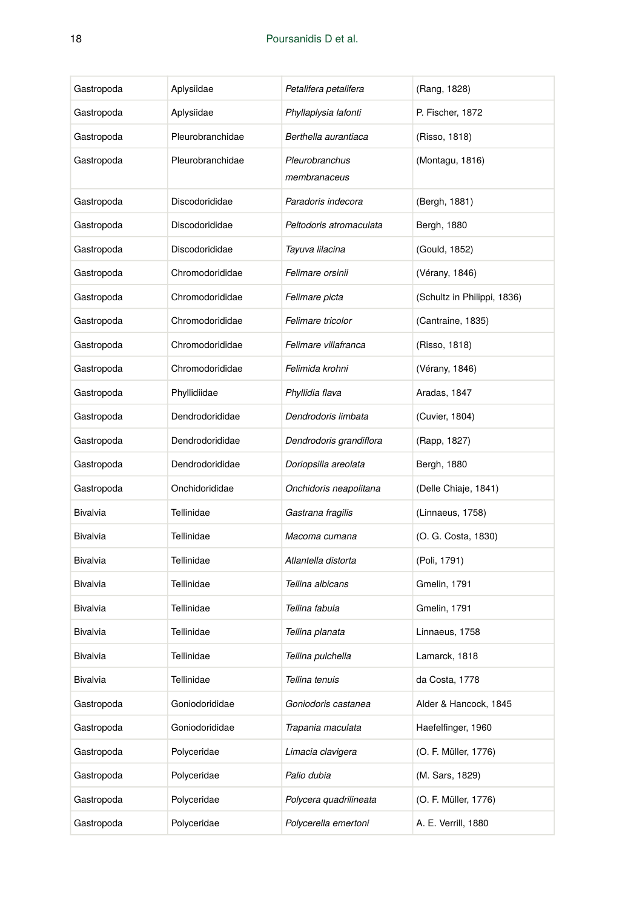| Gastropoda | Aplysiidae       | Petalifera petalifera          | (Rang, 1828)                |
|------------|------------------|--------------------------------|-----------------------------|
| Gastropoda | Aplysiidae       | Phyllaplysia lafonti           | P. Fischer, 1872            |
| Gastropoda | Pleurobranchidae | Berthella aurantiaca           | (Risso, 1818)               |
| Gastropoda | Pleurobranchidae | Pleurobranchus<br>membranaceus | (Montagu, 1816)             |
| Gastropoda | Discodorididae   | Paradoris indecora             | (Bergh, 1881)               |
| Gastropoda | Discodorididae   | Peltodoris atromaculata        | Bergh, 1880                 |
| Gastropoda | Discodorididae   | Tayuva lilacina                | (Gould, 1852)               |
| Gastropoda | Chromodorididae  | Felimare orsinii               | (Vérany, 1846)              |
| Gastropoda | Chromodorididae  | Felimare picta                 | (Schultz in Philippi, 1836) |
| Gastropoda | Chromodorididae  | Felimare tricolor              | (Cantraine, 1835)           |
| Gastropoda | Chromodorididae  | Felimare villafranca           | (Risso, 1818)               |
| Gastropoda | Chromodorididae  | Felimida krohni                | (Vérany, 1846)              |
| Gastropoda | Phyllidiidae     | Phyllidia flava                | Aradas, 1847                |
| Gastropoda | Dendrodorididae  | Dendrodoris limbata            | (Cuvier, 1804)              |
| Gastropoda | Dendrodorididae  | Dendrodoris grandiflora        | (Rapp, 1827)                |
| Gastropoda | Dendrodorididae  | Doriopsilla areolata           | Bergh, 1880                 |
| Gastropoda | Onchidorididae   | Onchidoris neapolitana         | (Delle Chiaje, 1841)        |
| Bivalvia   | Tellinidae       | Gastrana fragilis              | (Linnaeus, 1758)            |
| Bivalvia   | Tellinidae       | Macoma cumana                  | (O. G. Costa, 1830)         |
| Bivalvia   | Tellinidae       | Atlantella distorta            | (Poli, 1791)                |
| Bivalvia   | Tellinidae       | Tellina albicans               | Gmelin, 1791                |
| Bivalvia   | Tellinidae       | Tellina fabula                 | Gmelin, 1791                |
| Bivalvia   | Tellinidae       | Tellina planata                | Linnaeus, 1758              |
| Bivalvia   | Tellinidae       | Tellina pulchella              | Lamarck, 1818               |
| Bivalvia   | Tellinidae       | Tellina tenuis                 | da Costa, 1778              |
| Gastropoda | Goniodorididae   | Goniodoris castanea            | Alder & Hancock, 1845       |
| Gastropoda | Goniodorididae   | Trapania maculata              | Haefelfinger, 1960          |
| Gastropoda | Polyceridae      | Limacia clavigera              | (O. F. Müller, 1776)        |
| Gastropoda | Polyceridae      | Palio dubia                    | (M. Sars, 1829)             |
| Gastropoda | Polyceridae      | Polycera quadrilineata         | (O. F. Müller, 1776)        |
| Gastropoda | Polyceridae      | Polycerella emertoni           | A. E. Verrill, 1880         |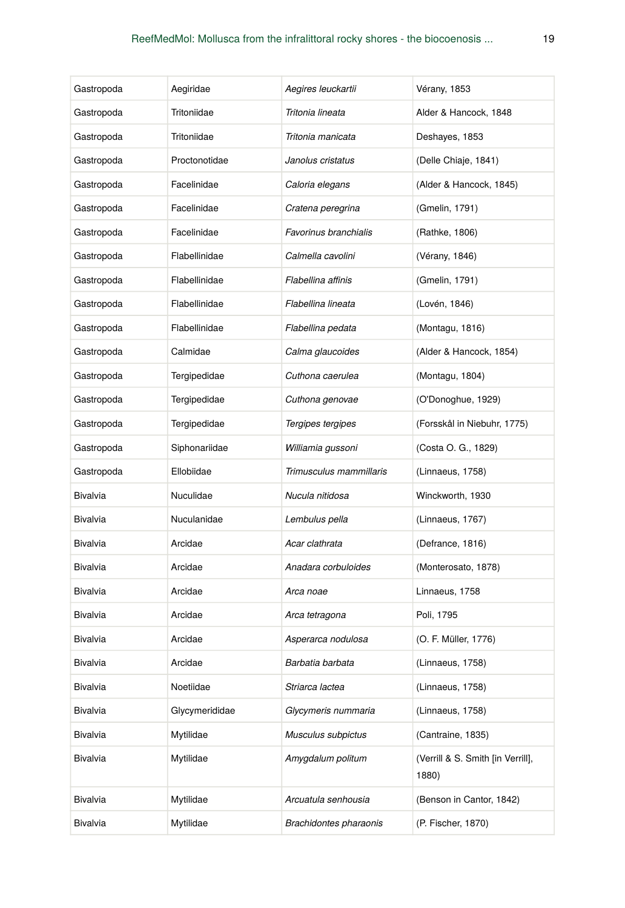| Gastropoda      | Aegiridae      | Aegires leuckartii      | Vérany, 1853                               |
|-----------------|----------------|-------------------------|--------------------------------------------|
| Gastropoda      | Tritoniidae    | Tritonia lineata        | Alder & Hancock, 1848                      |
| Gastropoda      | Tritoniidae    | Tritonia manicata       | Deshayes, 1853                             |
| Gastropoda      | Proctonotidae  | Janolus cristatus       | (Delle Chiaje, 1841)                       |
| Gastropoda      | Facelinidae    | Caloria elegans         | (Alder & Hancock, 1845)                    |
| Gastropoda      | Facelinidae    | Cratena peregrina       | (Gmelin, 1791)                             |
| Gastropoda      | Facelinidae    | Favorinus branchialis   | (Rathke, 1806)                             |
| Gastropoda      | Flabellinidae  | Calmella cavolini       | (Vérany, 1846)                             |
| Gastropoda      | Flabellinidae  | Flabellina affinis      | (Gmelin, 1791)                             |
| Gastropoda      | Flabellinidae  | Flabellina lineata      | (Lovén, 1846)                              |
| Gastropoda      | Flabellinidae  | Flabellina pedata       | (Montagu, 1816)                            |
| Gastropoda      | Calmidae       | Calma glaucoides        | (Alder & Hancock, 1854)                    |
| Gastropoda      | Tergipedidae   | Cuthona caerulea        | (Montagu, 1804)                            |
| Gastropoda      | Tergipedidae   | Cuthona genovae         | (O'Donoghue, 1929)                         |
| Gastropoda      | Tergipedidae   | Tergipes tergipes       | (Forsskål in Niebuhr, 1775)                |
| Gastropoda      | Siphonariidae  | Williamia gussoni       | (Costa O. G., 1829)                        |
| Gastropoda      | Ellobiidae     | Trimusculus mammillaris | (Linnaeus, 1758)                           |
| Bivalvia        | Nuculidae      | Nucula nitidosa         | Winckworth, 1930                           |
| Bivalvia        | Nuculanidae    | Lembulus pella          | (Linnaeus, 1767)                           |
| Bivalvia        | Arcidae        | Acar clathrata          | (Defrance, 1816)                           |
| Bivalvia        | Arcidae        | Anadara corbuloides     | (Monterosato, 1878)                        |
| <b>Bivalvia</b> | Arcidae        | Arca noae               | Linnaeus, 1758                             |
| Bivalvia        | Arcidae        | Arca tetragona          | Poli, 1795                                 |
| Bivalvia        | Arcidae        | Asperarca nodulosa      | (O. F. Müller, 1776)                       |
| Bivalvia        | Arcidae        | Barbatia barbata        | (Linnaeus, 1758)                           |
| Bivalvia        | Noetiidae      | Striarca lactea         | (Linnaeus, 1758)                           |
| Bivalvia        | Glycymerididae | Glycymeris nummaria     | (Linnaeus, 1758)                           |
| Bivalvia        | Mytilidae      | Musculus subpictus      | (Cantraine, 1835)                          |
| Bivalvia        | Mytilidae      | Amygdalum politum       | (Verrill & S. Smith [in Verrill],<br>1880) |
| Bivalvia        | Mytilidae      | Arcuatula senhousia     | (Benson in Cantor, 1842)                   |
| Bivalvia        | Mytilidae      | Brachidontes pharaonis  | (P. Fischer, 1870)                         |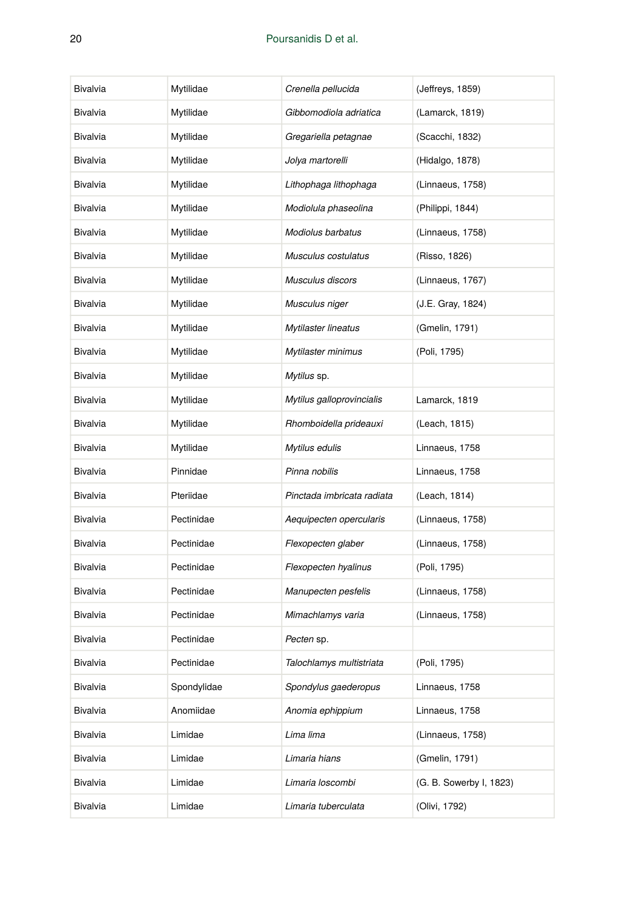| Bivalvia | Mytilidae   | Crenella pellucida         | (Jeffreys, 1859)        |
|----------|-------------|----------------------------|-------------------------|
| Bivalvia | Mytilidae   | Gibbomodiola adriatica     | (Lamarck, 1819)         |
| Bivalvia | Mytilidae   | Gregariella petagnae       | (Scacchi, 1832)         |
| Bivalvia | Mytilidae   | Jolya martorelli           | (Hidalgo, 1878)         |
| Bivalvia | Mytilidae   | Lithophaga lithophaga      | (Linnaeus, 1758)        |
| Bivalvia | Mytilidae   | Modiolula phaseolina       | (Philippi, 1844)        |
| Bivalvia | Mytilidae   | Modiolus barbatus          | (Linnaeus, 1758)        |
| Bivalvia | Mytilidae   | Musculus costulatus        | (Risso, 1826)           |
| Bivalvia | Mytilidae   | Musculus discors           | (Linnaeus, 1767)        |
| Bivalvia | Mytilidae   | Musculus niger             | (J.E. Gray, 1824)       |
| Bivalvia | Mytilidae   | Mytilaster lineatus        | (Gmelin, 1791)          |
| Bivalvia | Mytilidae   | Mytilaster minimus         | (Poli, 1795)            |
| Bivalvia | Mytilidae   | Mytilus sp.                |                         |
| Bivalvia | Mytilidae   | Mytilus galloprovincialis  | Lamarck, 1819           |
| Bivalvia | Mytilidae   | Rhomboidella prideauxi     | (Leach, 1815)           |
| Bivalvia | Mytilidae   | Mytilus edulis             | Linnaeus, 1758          |
| Bivalvia | Pinnidae    | Pinna nobilis              | Linnaeus, 1758          |
| Bivalvia | Pteriidae   | Pinctada imbricata radiata | (Leach, 1814)           |
| Bivalvia | Pectinidae  | Aequipecten opercularis    | (Linnaeus, 1758)        |
| Bivalvia | Pectinidae  | Flexopecten glaber         | (Linnaeus, 1758)        |
| Bivalvia | Pectinidae  | Flexopecten hyalinus       | (Poli, 1795)            |
| Bivalvia | Pectinidae  | Manupecten pesfelis        | (Linnaeus, 1758)        |
| Bivalvia | Pectinidae  | Mimachlamys varia          | (Linnaeus, 1758)        |
| Bivalvia | Pectinidae  | Pecten sp.                 |                         |
| Bivalvia | Pectinidae  | Talochlamys multistriata   | (Poli, 1795)            |
| Bivalvia | Spondylidae | Spondylus gaederopus       | Linnaeus, 1758          |
| Bivalvia | Anomiidae   | Anomia ephippium           | Linnaeus, 1758          |
| Bivalvia | Limidae     | Lima lima                  | (Linnaeus, 1758)        |
| Bivalvia | Limidae     | Limaria hians              | (Gmelin, 1791)          |
| Bivalvia | Limidae     | Limaria loscombi           | (G. B. Sowerby I, 1823) |
| Bivalvia | Limidae     | Limaria tuberculata        | (Olivi, 1792)           |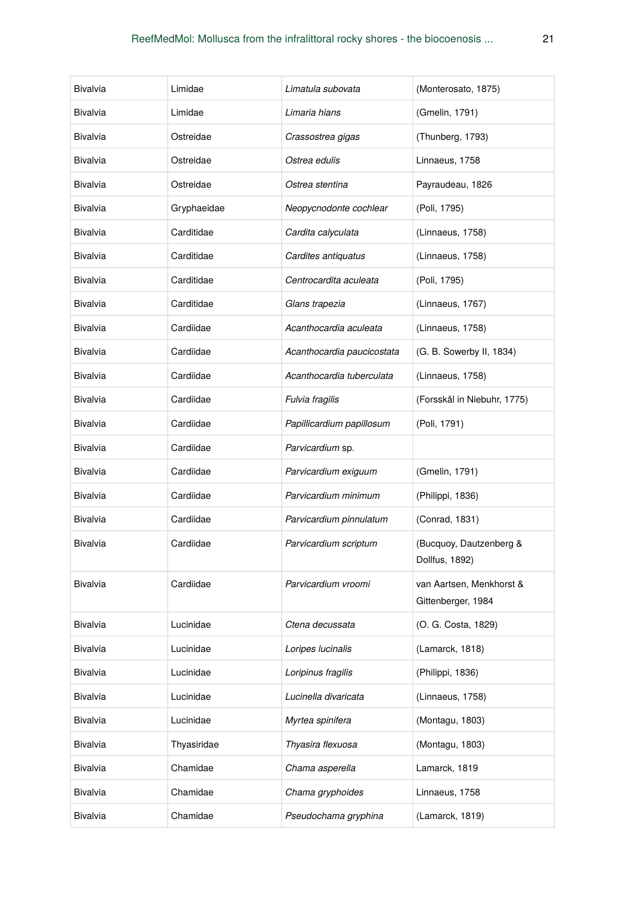| Bivalvia | Limidae     | Limatula subovata          | (Monterosato, 1875)                            |
|----------|-------------|----------------------------|------------------------------------------------|
| Bivalvia | Limidae     | Limaria hians              | (Gmelin, 1791)                                 |
| Bivalvia | Ostreidae   | Crassostrea gigas          | (Thunberg, 1793)                               |
| Bivalvia | Ostreidae   | Ostrea edulis              | Linnaeus, 1758                                 |
| Bivalvia | Ostreidae   | Ostrea stentina            | Payraudeau, 1826                               |
| Bivalvia | Gryphaeidae | Neopycnodonte cochlear     | (Poli, 1795)                                   |
| Bivalvia | Carditidae  | Cardita calyculata         | (Linnaeus, 1758)                               |
| Bivalvia | Carditidae  | Cardites antiquatus        | (Linnaeus, 1758)                               |
| Bivalvia | Carditidae  | Centrocardita aculeata     | (Poli, 1795)                                   |
| Bivalvia | Carditidae  | Glans trapezia             | (Linnaeus, 1767)                               |
| Bivalvia | Cardiidae   | Acanthocardia aculeata     | (Linnaeus, 1758)                               |
| Bivalvia | Cardiidae   | Acanthocardia paucicostata | (G. B. Sowerby II, 1834)                       |
| Bivalvia | Cardiidae   | Acanthocardia tuberculata  | (Linnaeus, 1758)                               |
| Bivalvia | Cardiidae   | Fulvia fragilis            | (Forsskål in Niebuhr, 1775)                    |
| Bivalvia | Cardiidae   | Papillicardium papillosum  | (Poli, 1791)                                   |
| Bivalvia | Cardiidae   | Parvicardium sp.           |                                                |
| Bivalvia | Cardiidae   | Parvicardium exiguum       | (Gmelin, 1791)                                 |
| Bivalvia | Cardiidae   | Parvicardium minimum       | (Philippi, 1836)                               |
| Bivalvia | Cardiidae   | Parvicardium pinnulatum    | (Conrad, 1831)                                 |
| Bivalvia | Cardiidae   | Parvicardium scriptum      | (Bucquoy, Dautzenberg &<br>Dollfus, 1892)      |
| Bivalvia | Cardiidae   | Parvicardium vroomi        | van Aartsen, Menkhorst &<br>Gittenberger, 1984 |
| Bivalvia | Lucinidae   | Ctena decussata            | (O. G. Costa, 1829)                            |
| Bivalvia | Lucinidae   | Loripes lucinalis          | (Lamarck, 1818)                                |
| Bivalvia | Lucinidae   | Loripinus fragilis         | (Philippi, 1836)                               |
| Bivalvia | Lucinidae   | Lucinella divaricata       | (Linnaeus, 1758)                               |
| Bivalvia | Lucinidae   | Myrtea spinifera           | (Montagu, 1803)                                |
| Bivalvia | Thyasiridae | Thyasira flexuosa          | (Montagu, 1803)                                |
| Bivalvia | Chamidae    | Chama asperella            | Lamarck, 1819                                  |
| Bivalvia | Chamidae    | Chama gryphoides           | Linnaeus, 1758                                 |
| Bivalvia | Chamidae    | Pseudochama gryphina       | (Lamarck, 1819)                                |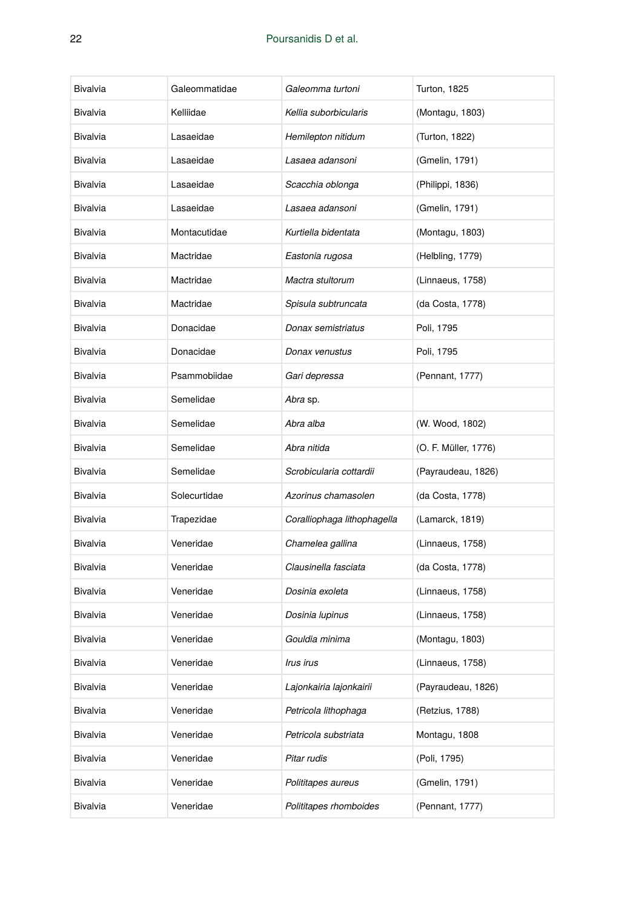| Bivalvia | Galeommatidae | Galeomma turtoni            | <b>Turton, 1825</b>  |
|----------|---------------|-----------------------------|----------------------|
| Bivalvia | Kelliidae     | Kellia suborbicularis       | (Montagu, 1803)      |
| Bivalvia | Lasaeidae     | Hemilepton nitidum          | (Turton, 1822)       |
| Bivalvia | Lasaeidae     | Lasaea adansoni             | (Gmelin, 1791)       |
| Bivalvia | Lasaeidae     | Scacchia oblonga            | (Philippi, 1836)     |
| Bivalvia | Lasaeidae     | Lasaea adansoni             | (Gmelin, 1791)       |
| Bivalvia | Montacutidae  | Kurtiella bidentata         | (Montagu, 1803)      |
| Bivalvia | Mactridae     | Eastonia rugosa             | (Helbling, 1779)     |
| Bivalvia | Mactridae     | Mactra stultorum            | (Linnaeus, 1758)     |
| Bivalvia | Mactridae     | Spisula subtruncata         | (da Costa, 1778)     |
| Bivalvia | Donacidae     | Donax semistriatus          | Poli, 1795           |
| Bivalvia | Donacidae     | Donax venustus              | Poli, 1795           |
| Bivalvia | Psammobiidae  | Gari depressa               | (Pennant, 1777)      |
| Bivalvia | Semelidae     | Abra sp.                    |                      |
| Bivalvia | Semelidae     | Abra alba                   | (W. Wood, 1802)      |
| Bivalvia | Semelidae     | Abra nitida                 | (O. F. Müller, 1776) |
| Bivalvia | Semelidae     | Scrobicularia cottardii     | (Payraudeau, 1826)   |
| Bivalvia | Solecurtidae  | Azorinus chamasolen         | (da Costa, 1778)     |
| Bivalvia | Trapezidae    | Coralliophaga lithophagella | (Lamarck, 1819)      |
| Bivalvia | Veneridae     | Chamelea gallina            | (Linnaeus, 1758)     |
| Bivalvia | Veneridae     | Clausinella fasciata        | (da Costa, 1778)     |
| Bivalvia | Veneridae     | Dosinia exoleta             | (Linnaeus, 1758)     |
| Bivalvia | Veneridae     | Dosinia lupinus             | (Linnaeus, 1758)     |
| Bivalvia | Veneridae     | Gouldia minima              | (Montagu, 1803)      |
| Bivalvia | Veneridae     | <i><b>Irus irus</b></i>     | (Linnaeus, 1758)     |
| Bivalvia | Veneridae     | Lajonkairia lajonkairii     | (Payraudeau, 1826)   |
| Bivalvia | Veneridae     | Petricola lithophaga        | (Retzius, 1788)      |
| Bivalvia | Veneridae     | Petricola substriata        | Montagu, 1808        |
| Bivalvia | Veneridae     | Pitar rudis                 | (Poli, 1795)         |
| Bivalvia | Veneridae     | Polititapes aureus          | (Gmelin, 1791)       |
| Bivalvia | Veneridae     | Polititapes rhomboides      | (Pennant, 1777)      |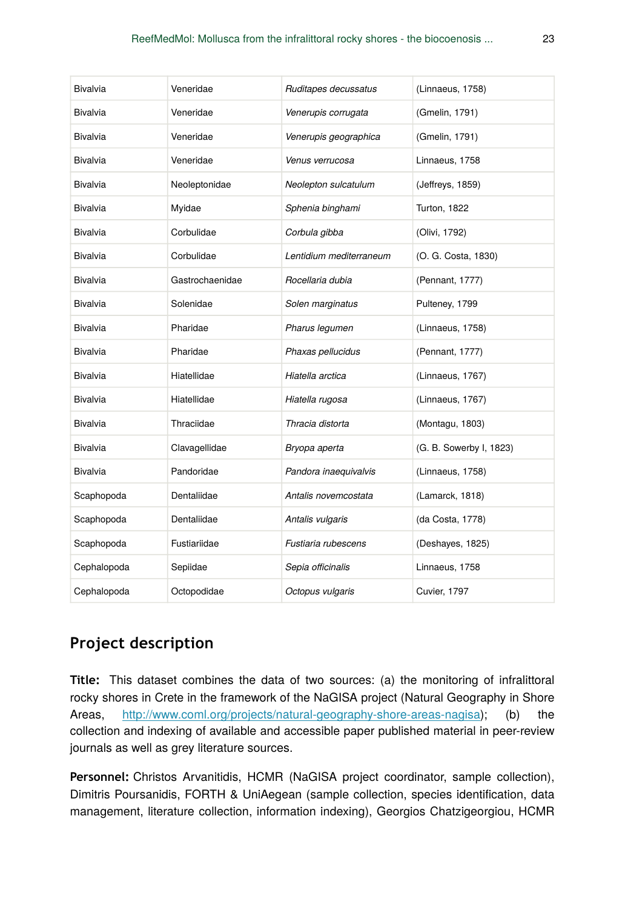| Bivalvia        | Veneridae       | Ruditapes decussatus    | (Linnaeus, 1758)        |
|-----------------|-----------------|-------------------------|-------------------------|
| Bivalvia        | Veneridae       | Venerupis corrugata     | (Gmelin, 1791)          |
| Bivalvia        | Veneridae       | Venerupis geographica   | (Gmelin, 1791)          |
| Bivalvia        | Veneridae       | Venus verrucosa         | Linnaeus, 1758          |
| Bivalvia        | Neoleptonidae   | Neolepton sulcatulum    | (Jeffreys, 1859)        |
| <b>Bivalvia</b> | Myidae          | Sphenia binghami        | Turton, 1822            |
| Bivalvia        | Corbulidae      | Corbula gibba           | (Olivi, 1792)           |
| <b>Bivalvia</b> | Corbulidae      | Lentidium mediterraneum | (O. G. Costa, 1830)     |
| Bivalvia        | Gastrochaenidae | Rocellaria dubia        | (Pennant, 1777)         |
| Bivalvia        | Solenidae       | Solen marginatus        | Pulteney, 1799          |
| <b>Bivalvia</b> | Pharidae        | Pharus legumen          | (Linnaeus, 1758)        |
| Bivalvia        | Pharidae        | Phaxas pellucidus       | (Pennant, 1777)         |
| Bivalvia        | Hiatellidae     | Hiatella arctica        | (Linnaeus, 1767)        |
| Bivalvia        | Hiatellidae     | Hiatella rugosa         | (Linnaeus, 1767)        |
| Bivalvia        | Thraciidae      | Thracia distorta        | (Montagu, 1803)         |
| Bivalvia        | Clavagellidae   | Bryopa aperta           | (G. B. Sowerby I, 1823) |
| <b>Bivalvia</b> | Pandoridae      | Pandora inaequivalvis   | (Linnaeus, 1758)        |
| Scaphopoda      | Dentaliidae     | Antalis novemcostata    | (Lamarck, 1818)         |
| Scaphopoda      | Dentaliidae     | Antalis vulgaris        | (da Costa, 1778)        |
| Scaphopoda      | Fustiariidae    | Fustiaria rubescens     | (Deshayes, 1825)        |
| Cephalopoda     | Sepiidae        | Sepia officinalis       | Linnaeus, 1758          |
| Cephalopoda     | Octopodidae     | Octopus vulgaris        | <b>Cuvier, 1797</b>     |

# **Project description**

**Title:** This dataset combines the data of two sources: (a) the monitoring of infralittoral rocky shores in Crete in the framework of the NaGISA project (Natural Geography in Shore Areas, [http://www.coml.org/projects/natural-geography-shore-areas-nagisa\)](http://www.coml.org/projects/natural-geography-shore-areas-nagisa); (b) the collection and indexing of available and accessible paper published material in peer-review journals as well as grey literature sources.

**Personnel:** Christos Arvanitidis, HCMR (NaGISA project coordinator, sample collection), Dimitris Poursanidis, FORTH & UniAegean (sample collection, species identification, data management, literature collection, information indexing), Georgios Chatzigeorgiou, HCMR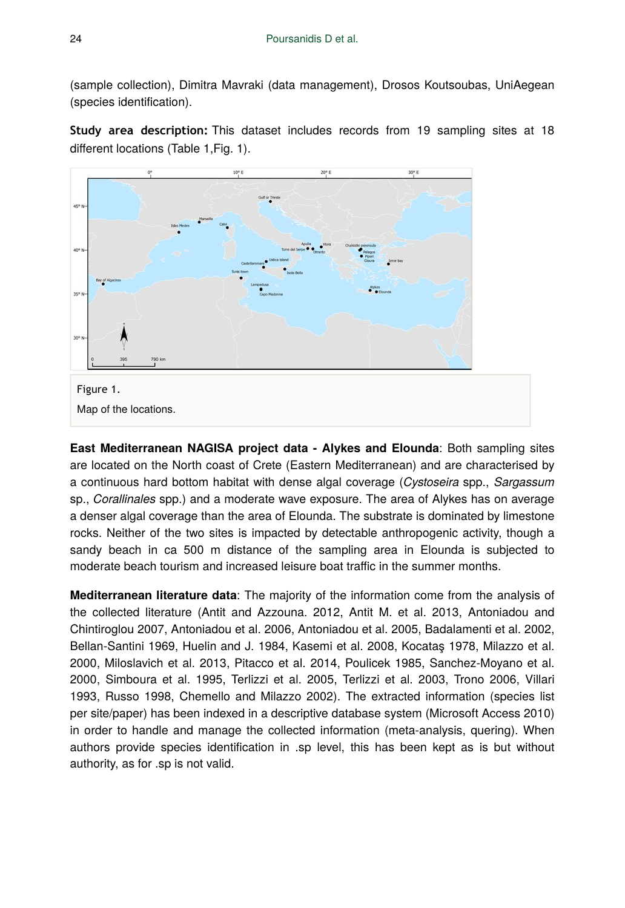(sample collection), Dimitra Mavraki (data management), Drosos Koutsoubas, UniAegean (species identification).

**Study area description:** This dataset includes records from 19 sampling sites at 18 different locations (Table 1,Fig. 1).



**East Mediterranean NAGISA project data - Alykes and Elounda**: Both sampling sites are located on the North coast of Crete (Eastern Mediterranean) and are characterised by a continuous hard bottom habitat with dense algal coverage (*Cystoseira* spp., *Sargassum* sp., *Corallinales* spp.) and a moderate wave exposure. The area of Alykes has on average a denser algal coverage than the area of Elounda. The substrate is dominated by limestone rocks. Neither of the two sites is impacted by detectable anthropogenic activity, though a sandy beach in ca 500 m distance of the sampling area in Elounda is subjected to moderate beach tourism and increased leisure boat traffic in the summer months.

**Mediterranean literature data**: The majority of the information come from the analysis of the collected literature (Antit and Azzouna. 2012, Antit M. et al. 2013, Antoniadou and Chintiroglou 2007, Antoniadou et al. 2006, Antoniadou et al. 2005, Badalamenti et al. 2002, Bellan-Santini 1969, Huelin and J. 1984, Kasemi et al. 2008, Kocataş 1978, Milazzo et al. 2000, Miloslavich et al. 2013, Pitacco et al. 2014, Poulicek 1985, Sanchez-Moyano et al. 2000, Simboura et al. 1995, Terlizzi et al. 2005, Terlizzi et al. 2003, Trono 2006, Villari 1993, Russo 1998, Chemello and Milazzo 2002). The extracted information (species list per site/paper) has been indexed in a descriptive database system (Microsoft Access 2010) in order to handle and manage the collected information (meta-analysis, quering). When authors provide species identification in .sp level, this has been kept as is but without authority, as for .sp is not valid.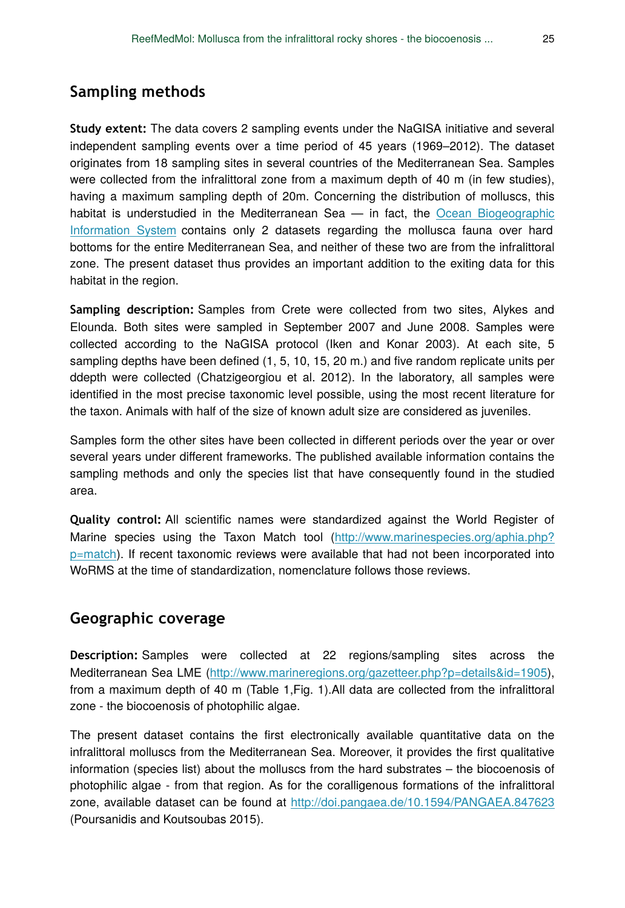# **Sampling methods**

**Study extent:** The data covers 2 sampling events under the NaGISA initiative and several independent sampling events over a time period of 45 years (1969–2012). The dataset originates from 18 sampling sites in several countries of the Mediterranean Sea. Samples were collected from the infralittoral zone from a maximum depth of 40 m (in few studies), having a maximum sampling depth of 20m. Concerning the distribution of molluscs, this habitat is understudied in the Mediterranean Sea — in fact, the [Ocean Biogeographic](http://iobis.org/) [Information System](http://iobis.org/) contains only 2 datasets regarding the mollusca fauna over hard bottoms for the entire Mediterranean Sea, and neither of these two are from the infralittoral zone. The present dataset thus provides an important addition to the exiting data for this habitat in the region.

**Sampling description:** Samples from Crete were collected from two sites, Alykes and Elounda. Both sites were sampled in September 2007 and June 2008. Samples were collected according to the NaGISA protocol (Iken and Konar 2003). At each site, 5 sampling depths have been defined (1, 5, 10, 15, 20 m.) and five random replicate units per ddepth were collected (Chatzigeorgiou et al. 2012). In the laboratory, all samples were identified in the most precise taxonomic level possible, using the most recent literature for the taxon. Animals with half of the size of known adult size are considered as juveniles.

Samples form the other sites have been collected in different periods over the year or over several years under different frameworks. The published available information contains the sampling methods and only the species list that have consequently found in the studied area.

**Quality control:** All scientific names were standardized against the World Register of Marine species using the Taxon Match tool ([http://www.marinespecies.org/aphia.php?](http://www.marinespecies.org/aphia.php?p=match) [p=match](http://www.marinespecies.org/aphia.php?p=match)). If recent taxonomic reviews were available that had not been incorporated into WoRMS at the time of standardization, nomenclature follows those reviews.

## **Geographic coverage**

**Description:** Samples were collected at 22 regions/sampling sites across the Mediterranean Sea LME [\(http://www.marineregions.org/gazetteer.php?p=details&id=1905\)](http://www.marineregions.org/gazetteer.php?p=details&id=1905), from a maximum depth of 40 m (Table 1,Fig. 1).All data are collected from the infralittoral zone - the biocoenosis of photophilic algae.

The present dataset contains the first electronically available quantitative data on the infralittoral molluscs from the Mediterranean Sea. Moreover, it provides the first qualitative information (species list) about the molluscs from the hard substrates – the biocoenosis of photophilic algae - from that region. As for the coralligenous formations of the infralittoral zone, available dataset can be found at <http://doi.pangaea.de/10.1594/PANGAEA.847623> (Poursanidis and Koutsoubas 2015).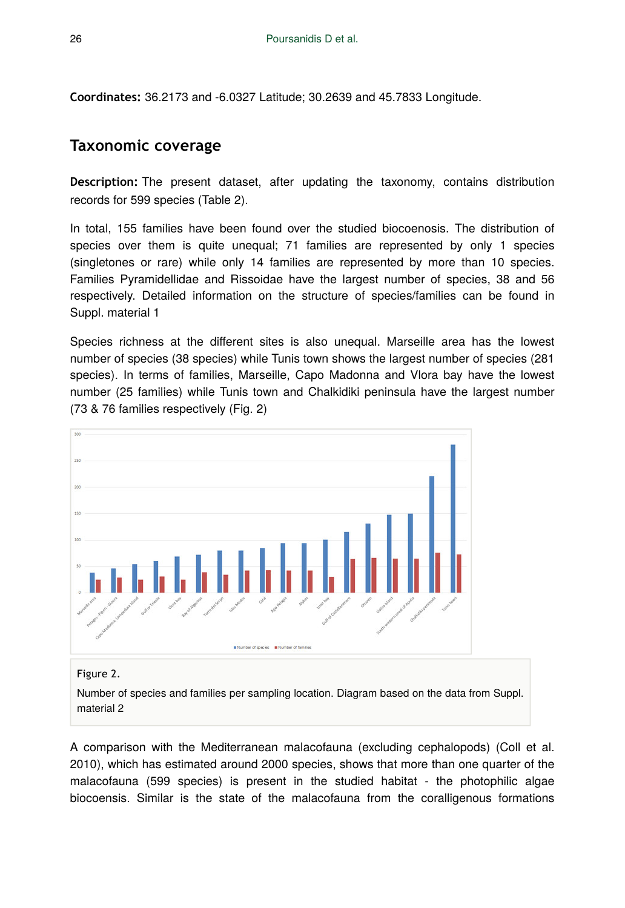**Coordinates:** 36.2173 and -6.0327 Latitude; 30.2639 and 45.7833 Longitude.

## **Taxonomic coverage**

**Description:** The present dataset, after updating the taxonomy, contains distribution records for 599 species (Table 2).

In total, 155 families have been found over the studied biocoenosis. The distribution of species over them is quite unequal; 71 families are represented by only 1 species (singletones or rare) while only 14 families are represented by more than 10 species. Families Pyramidellidae and Rissoidae have the largest number of species, 38 and 56 respectively. Detailed information on the structure of species/families can be found in Suppl. material 1

Species richness at the different sites is also unequal. Marseille area has the lowest number of species (38 species) while Tunis town shows the largest number of species (281 species). In terms of families, Marseille, Capo Madonna and Vlora bay have the lowest number (25 families) while Tunis town and Chalkidiki peninsula have the largest number (73 & 76 families respectively (Fig. 2)



#### Figure 2.

Number of species and families per sampling location. Diagram based on the data from Suppl. material 2

A comparison with the Mediterranean malacofauna (excluding cephalopods) (Coll et al. 2010), which has estimated around 2000 species, shows that more than one quarter of the malacofauna (599 species) is present in the studied habitat - the photophilic algae biocoensis. Similar is the state of the malacofauna from the coralligenous formations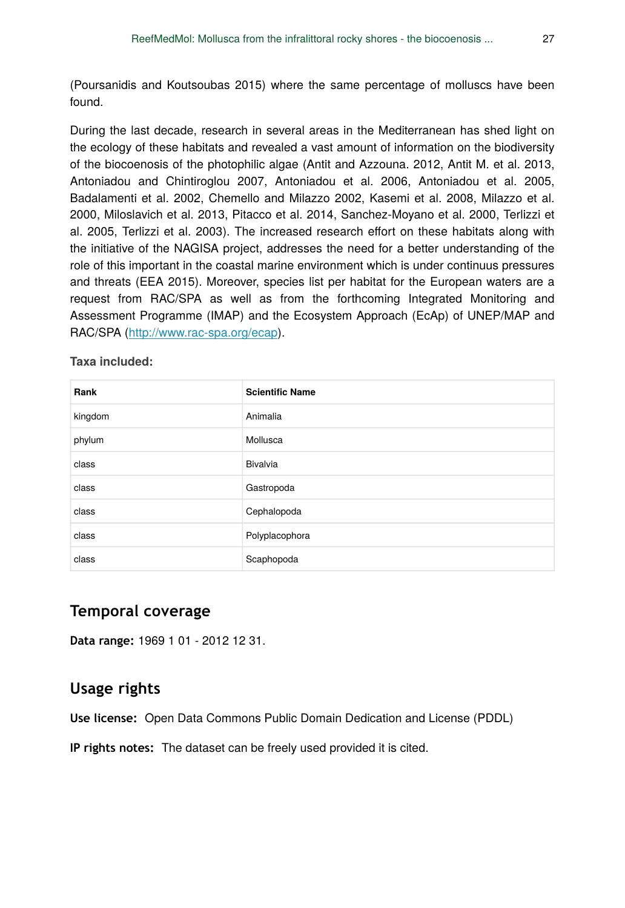(Poursanidis and Koutsoubas 2015) where the same percentage of molluscs have been found.

During the last decade, research in several areas in the Mediterranean has shed light on the ecology of these habitats and revealed a vast amount of information on the biodiversity of the biocoenosis of the photophilic algae (Antit and Azzouna. 2012, Antit M. et al. 2013, Antoniadou and Chintiroglou 2007, Antoniadou et al. 2006, Antoniadou et al. 2005, Badalamenti et al. 2002, Chemello and Milazzo 2002, Kasemi et al. 2008, Milazzo et al. 2000, Miloslavich et al. 2013, Pitacco et al. 2014, Sanchez-Moyano et al. 2000, Terlizzi et al. 2005, Terlizzi et al. 2003). The increased research effort on these habitats along with the initiative of the NAGISA project, addresses the need for a better understanding of the role of this important in the coastal marine environment which is under continuus pressures and threats (EEA 2015). Moreover, species list per habitat for the European waters are a request from RAC/SPA as well as from the forthcoming Integrated Monitoring and Assessment Programme (IMAP) and the Ecosystem Approach (EcAp) of UNEP/MAP and RAC/SPA [\(http://www.rac-spa.org/ecap\)](http://www.rac-spa.org/ecap).

#### **Taxa included:**

| Rank    | <b>Scientific Name</b> |
|---------|------------------------|
| kingdom | Animalia               |
| phylum  | Mollusca               |
| class   | Bivalvia               |
| class   | Gastropoda             |
| class   | Cephalopoda            |
| class   | Polyplacophora         |
| class   | Scaphopoda             |

## **Temporal coverage**

**Data range:** 1969 1 01 - 2012 12 31.

## **Usage rights**

**Use license:** Open Data Commons Public Domain Dedication and License (PDDL)

**IP rights notes:** The dataset can be freely used provided it is cited.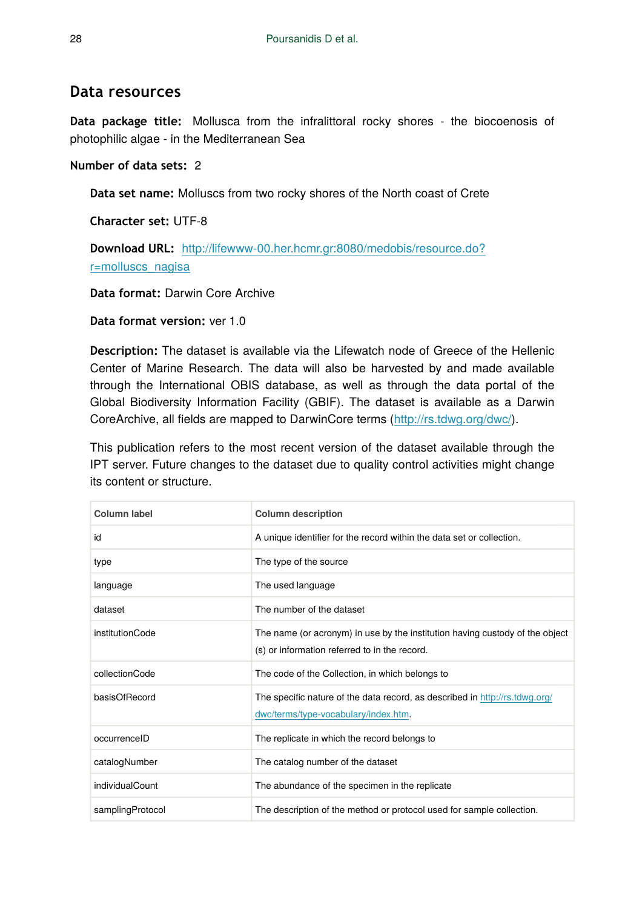## **Data resources**

**Data package title:** Mollusca from the infralittoral rocky shores - the biocoenosis of photophilic algae - in the Mediterranean Sea

#### **Number of data sets:** 2

**Data set name:** Molluscs from two rocky shores of the North coast of Crete

**Character set:** UTF-8

**Download URL:** [http://lifewww-00.her.hcmr.gr:8080/medobis/resource.do?](http://lifewww-00.her.hcmr.gr:8080/medobis/resource.do?r=molluscs_nagisa) [r=molluscs\\_nagisa](http://lifewww-00.her.hcmr.gr:8080/medobis/resource.do?r=molluscs_nagisa)

**Data format:** Darwin Core Archive

**Data format version:** ver 1.0

**Description:** The dataset is available via the Lifewatch node of Greece of the Hellenic Center of Marine Research. The data will also be harvested by and made available through the International OBIS database, as well as through the data portal of the Global Biodiversity Information Facility (GBIF). The dataset is available as a Darwin CoreArchive, all fields are mapped to DarwinCore terms [\(http://rs.tdwg.org/dwc/](http://rs.tdwg.org/dwc/index.htm)).

This publication refers to the most recent version of the dataset available through the IPT server. Future changes to the dataset due to quality control activities might change its content or structure.

| Column label     | <b>Column description</b>                                                                                                     |
|------------------|-------------------------------------------------------------------------------------------------------------------------------|
| id               | A unique identifier for the record within the data set or collection.                                                         |
| type             | The type of the source                                                                                                        |
| language         | The used language                                                                                                             |
| dataset          | The number of the dataset                                                                                                     |
| institutionCode  | The name (or acronym) in use by the institution having custody of the object<br>(s) or information referred to in the record. |
| collectionCode   | The code of the Collection, in which belongs to                                                                               |
| basisOfRecord    | The specific nature of the data record, as described in http://rs.tdwg.org/<br>dwc/terms/type-vocabulary/index.htm.           |
| occurrenceID     | The replicate in which the record belongs to                                                                                  |
| catalogNumber    | The catalog number of the dataset                                                                                             |
| individualCount  | The abundance of the specimen in the replicate                                                                                |
| samplingProtocol | The description of the method or protocol used for sample collection.                                                         |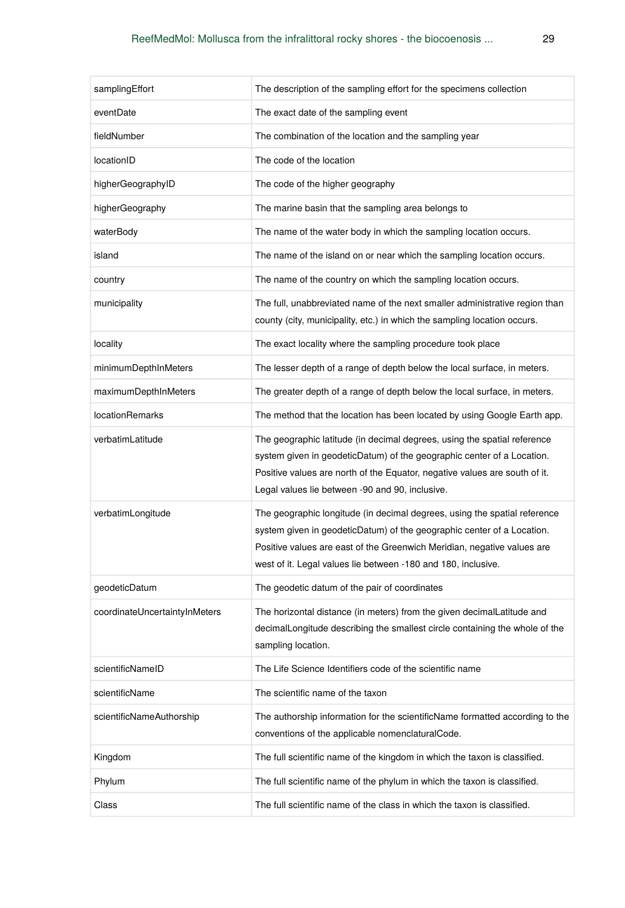| samplingEffort                | The description of the sampling effort for the specimens collection                                                                                                                                                                                                                             |
|-------------------------------|-------------------------------------------------------------------------------------------------------------------------------------------------------------------------------------------------------------------------------------------------------------------------------------------------|
| eventDate                     | The exact date of the sampling event                                                                                                                                                                                                                                                            |
| fieldNumber                   | The combination of the location and the sampling year                                                                                                                                                                                                                                           |
| locationID                    | The code of the location                                                                                                                                                                                                                                                                        |
| higherGeographyID             | The code of the higher geography                                                                                                                                                                                                                                                                |
| higherGeography               | The marine basin that the sampling area belongs to                                                                                                                                                                                                                                              |
| waterBody                     | The name of the water body in which the sampling location occurs.                                                                                                                                                                                                                               |
| island                        | The name of the island on or near which the sampling location occurs.                                                                                                                                                                                                                           |
| country                       | The name of the country on which the sampling location occurs.                                                                                                                                                                                                                                  |
| municipality                  | The full, unabbreviated name of the next smaller administrative region than<br>county (city, municipality, etc.) in which the sampling location occurs.                                                                                                                                         |
| locality                      | The exact locality where the sampling procedure took place                                                                                                                                                                                                                                      |
| minimumDepthInMeters          | The lesser depth of a range of depth below the local surface, in meters.                                                                                                                                                                                                                        |
| maximumDepthInMeters          | The greater depth of a range of depth below the local surface, in meters.                                                                                                                                                                                                                       |
| <b>locationRemarks</b>        | The method that the location has been located by using Google Earth app.                                                                                                                                                                                                                        |
| verbatimLatitude              | The geographic latitude (in decimal degrees, using the spatial reference<br>system given in geodeticDatum) of the geographic center of a Location.<br>Positive values are north of the Equator, negative values are south of it.<br>Legal values lie between -90 and 90, inclusive.             |
| verbatimLongitude             | The geographic longitude (in decimal degrees, using the spatial reference<br>system given in geodeticDatum) of the geographic center of a Location.<br>Positive values are east of the Greenwich Meridian, negative values are<br>west of it. Legal values lie between -180 and 180, inclusive. |
| geodeticDatum                 | The geodetic datum of the pair of coordinates                                                                                                                                                                                                                                                   |
| coordinateUncertaintyInMeters | The horizontal distance (in meters) from the given decimalLatitude and<br>decimalLongitude describing the smallest circle containing the whole of the<br>sampling location.                                                                                                                     |
| scientificNameID              | The Life Science Identifiers code of the scientific name                                                                                                                                                                                                                                        |
| scientificName                | The scientific name of the taxon                                                                                                                                                                                                                                                                |
| scientificNameAuthorship      | The authorship information for the scientificName formatted according to the<br>conventions of the applicable nomenclaturalCode.                                                                                                                                                                |
| Kingdom                       | The full scientific name of the kingdom in which the taxon is classified.                                                                                                                                                                                                                       |
| Phylum                        | The full scientific name of the phylum in which the taxon is classified.                                                                                                                                                                                                                        |
| Class                         | The full scientific name of the class in which the taxon is classified.                                                                                                                                                                                                                         |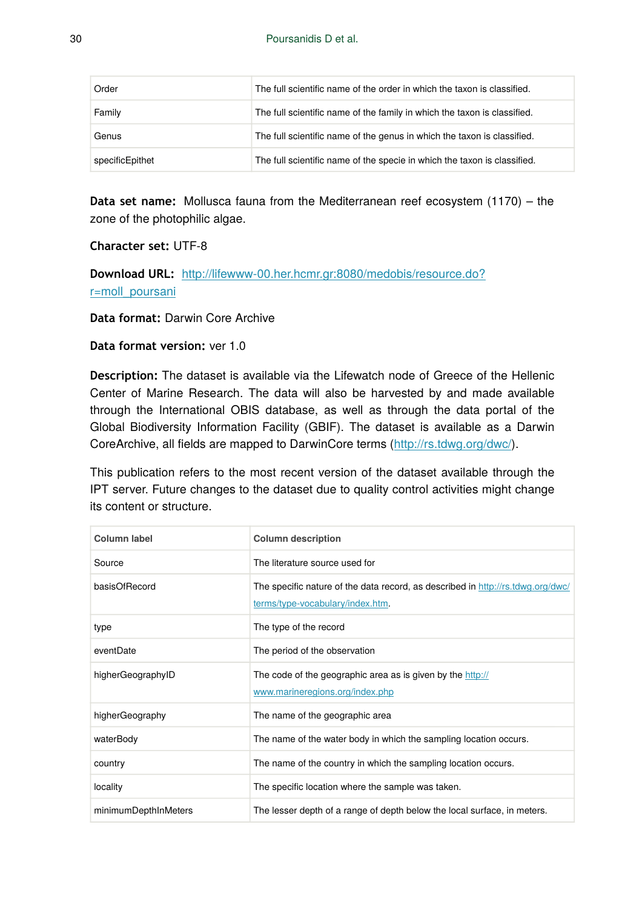| Order           | The full scientific name of the order in which the taxon is classified.  |
|-----------------|--------------------------------------------------------------------------|
| Family          | The full scientific name of the family in which the taxon is classified. |
| Genus           | The full scientific name of the genus in which the taxon is classified.  |
| specificEpithet | The full scientific name of the specie in which the taxon is classified. |

**Data set name:** Mollusca fauna from the Mediterranean reef ecosystem (1170) – the zone of the photophilic algae.

#### **Character set:** UTF-8

**Download URL:** [http://lifewww-00.her.hcmr.gr:8080/medobis/resource.do?](http://lifewww-00.her.hcmr.gr:8080/medobis/resource.do?r=moll_poursani) [r=moll\\_poursani](http://lifewww-00.her.hcmr.gr:8080/medobis/resource.do?r=moll_poursani)

#### **Data format:** Darwin Core Archive

#### **Data format version:** ver 1.0

**Description:** The dataset is available via the Lifewatch node of Greece of the Hellenic Center of Marine Research. The data will also be harvested by and made available through the International OBIS database, as well as through the data portal of the Global Biodiversity Information Facility (GBIF). The dataset is available as a Darwin CoreArchive, all fields are mapped to DarwinCore terms [\(http://rs.tdwg.org/dwc/](http://rs.tdwg.org/dwc/index.htm)).

This publication refers to the most recent version of the dataset available through the IPT server. Future changes to the dataset due to quality control activities might change its content or structure.

| Column label         | <b>Column description</b>                                                                                           |
|----------------------|---------------------------------------------------------------------------------------------------------------------|
| Source               | The literature source used for                                                                                      |
| basisOfRecord        | The specific nature of the data record, as described in http://rs.tdwg.org/dwc/<br>terms/type-vocabulary/index.htm. |
| type                 | The type of the record                                                                                              |
| eventDate            | The period of the observation                                                                                       |
| higherGeographyID    | The code of the geographic area as is given by the http://<br>www.marineregions.org/index.php                       |
| higherGeography      | The name of the geographic area                                                                                     |
| waterBody            | The name of the water body in which the sampling location occurs.                                                   |
| country              | The name of the country in which the sampling location occurs.                                                      |
| locality             | The specific location where the sample was taken.                                                                   |
| minimumDepthInMeters | The lesser depth of a range of depth below the local surface, in meters.                                            |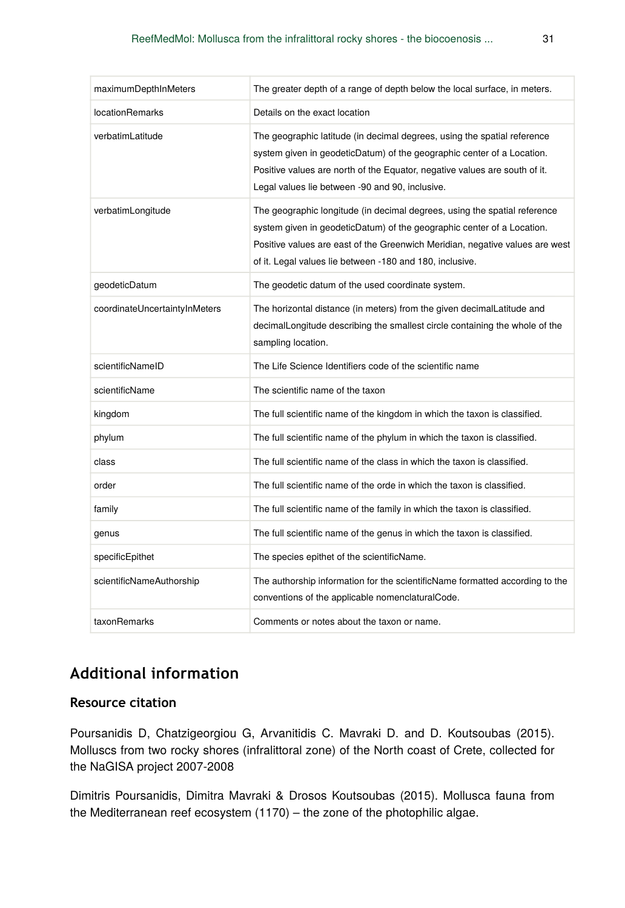| maximumDepthInMeters          | The greater depth of a range of depth below the local surface, in meters.                                                                                                                                                                                                                       |
|-------------------------------|-------------------------------------------------------------------------------------------------------------------------------------------------------------------------------------------------------------------------------------------------------------------------------------------------|
| <b>locationRemarks</b>        | Details on the exact location                                                                                                                                                                                                                                                                   |
| verbatimLatitude              | The geographic latitude (in decimal degrees, using the spatial reference<br>system given in geodeticDatum) of the geographic center of a Location.<br>Positive values are north of the Equator, negative values are south of it.<br>Legal values lie between -90 and 90, inclusive.             |
| verbatimLongitude             | The geographic longitude (in decimal degrees, using the spatial reference<br>system given in geodeticDatum) of the geographic center of a Location.<br>Positive values are east of the Greenwich Meridian, negative values are west<br>of it. Legal values lie between -180 and 180, inclusive. |
| geodeticDatum                 | The geodetic datum of the used coordinate system.                                                                                                                                                                                                                                               |
| coordinateUncertaintyInMeters | The horizontal distance (in meters) from the given decimalLatitude and<br>decimalLongitude describing the smallest circle containing the whole of the<br>sampling location.                                                                                                                     |
| scientificNameID              | The Life Science Identifiers code of the scientific name                                                                                                                                                                                                                                        |
| scientificName                | The scientific name of the taxon                                                                                                                                                                                                                                                                |
| kingdom                       | The full scientific name of the kingdom in which the taxon is classified.                                                                                                                                                                                                                       |
| phylum                        | The full scientific name of the phylum in which the taxon is classified.                                                                                                                                                                                                                        |
| class                         | The full scientific name of the class in which the taxon is classified.                                                                                                                                                                                                                         |
| order                         | The full scientific name of the orde in which the taxon is classified.                                                                                                                                                                                                                          |
| family                        | The full scientific name of the family in which the taxon is classified.                                                                                                                                                                                                                        |
| genus                         | The full scientific name of the genus in which the taxon is classified.                                                                                                                                                                                                                         |
| specificEpithet               | The species epithet of the scientificName.                                                                                                                                                                                                                                                      |
| scientificNameAuthorship      | The authorship information for the scientificName formatted according to the<br>conventions of the applicable nomenclaturalCode.                                                                                                                                                                |
| taxonRemarks                  | Comments or notes about the taxon or name.                                                                                                                                                                                                                                                      |

# **Additional information**

## **Resource citation**

Poursanidis D, Chatzigeorgiou G, Arvanitidis C. Mavraki D. and D. Koutsoubas (2015). Molluscs from two rocky shores (infralittoral zone) of the North coast of Crete, collected for the NaGISA project 2007-2008

Dimitris Poursanidis, Dimitra Mavraki & Drosos Koutsoubas (2015). Mollusca fauna from the Mediterranean reef ecosystem (1170) – the zone of the photophilic algae.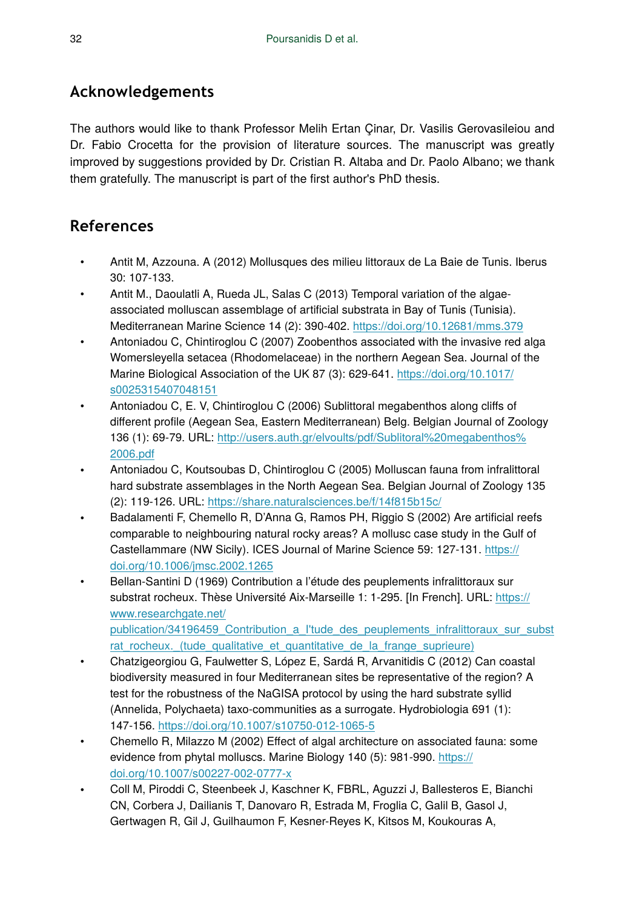# **Acknowledgements**

The authors would like to thank Professor Melih Ertan Çinar, Dr. Vasilis Gerovasileiou and Dr. Fabio Crocetta for the provision of literature sources. The manuscript was greatly improved by suggestions provided by Dr. Cristian R. Altaba and Dr. Paolo Albano; we thank them gratefully. The manuscript is part of the first author's PhD thesis.

# **References**

- Antit M, Azzouna. A (2012) Mollusques des milieu littoraux de La Baie de Tunis. Iberus 30: 107‑133.
- Antit M., Daoulatli A, Rueda JL, Salas C (2013) Temporal variation of the algaeassociated molluscan assemblage of artificial substrata in Bay of Tunis (Tunisia). Mediterranean Marine Science 14 (2): 390‑402.<https://doi.org/10.12681/mms.379>
- Antoniadou C, Chintiroglou C (2007) Zoobenthos associated with the invasive red alga Womersleyella setacea (Rhodomelaceae) in the northern Aegean Sea. Journal of the Marine Biological Association of the UK 87 (3): 629-641. [https://doi.org/10.1017/](https://doi.org/10.1017/s0025315407048151) [s0025315407048151](https://doi.org/10.1017/s0025315407048151)
- Antoniadou C, E. V, Chintiroglou C (2006) Sublittoral megabenthos along cliffs of different profile (Aegean Sea, Eastern Mediterranean) Belg. Belgian Journal of Zoology 136 (1): 69‑79. URL: [http://users.auth.gr/elvoults/pdf/Sublitoral%20megabenthos%](http://users.auth.gr/elvoults/pdf/Sublitoral%20megabenthos%2006.pdf) [2006.pdf](http://users.auth.gr/elvoults/pdf/Sublitoral%20megabenthos%2006.pdf)
- Antoniadou C, Koutsoubas D, Chintiroglou C (2005) Molluscan fauna from infralittoral hard substrate assemblages in the North Aegean Sea. Belgian Journal of Zoology 135 (2): 119‑126. URL: <https://share.naturalsciences.be/f/14f815b15c/>
- Badalamenti F, Chemello R, D'Anna G, Ramos PH, Riggio S (2002) Are artificial reefs comparable to neighbouring natural rocky areas? A mollusc case study in the Gulf of Castellammare (NW Sicily). ICES Journal of Marine Science 59: 127‑131. [https://](https://doi.org/10.1006/jmsc.2002.1265) [doi.org/10.1006/jmsc.2002.1265](https://doi.org/10.1006/jmsc.2002.1265)
- Bellan-Santini D (1969) Contribution a l'étude des peuplements infralittoraux sur substrat rocheux. Thèse Université Aix-Marseille 1: 1-295. [In French]. URL: [https://](https://www.researchgate.net/publication/34196459_Contribution_a_I) [www.researchgate.net/](https://www.researchgate.net/publication/34196459_Contribution_a_I) [publication/34196459\\_Contribution\\_a\\_I'tude\\_des\\_peuplements\\_infralittoraux\\_sur\\_subst](https://www.researchgate.net/publication/34196459_Contribution_a_I)
- rat rocheux. (tude qualitative et quantitative de la frange suprieure) • Chatzigeorgiou G, Faulwetter S, López E, Sardá R, Arvanitidis C (2012) Can coastal biodiversity measured in four Mediterranean sites be representative of the region? A test for the robustness of the NaGISA protocol by using the hard substrate syllid (Annelida, Polychaeta) taxo-communities as a surrogate. Hydrobiologia 691 (1): 147‑156. <https://doi.org/10.1007/s10750-012-1065-5>
- Chemello R, Milazzo M (2002) Effect of algal architecture on associated fauna: some evidence from phytal molluscs. Marine Biology 140 (5): 981-990. [https://](https://doi.org/10.1007/s00227-002-0777-x) [doi.org/10.1007/s00227-002-0777-x](https://doi.org/10.1007/s00227-002-0777-x)
- Coll M, Piroddi C, Steenbeek J, Kaschner K, FBRL, Aguzzi J, Ballesteros E, Bianchi CN, Corbera J, Dailianis T, Danovaro R, Estrada M, Froglia C, Galil B, Gasol J, Gertwagen R, Gil J, Guilhaumon F, Kesner-Reyes K, Kitsos M, Koukouras A,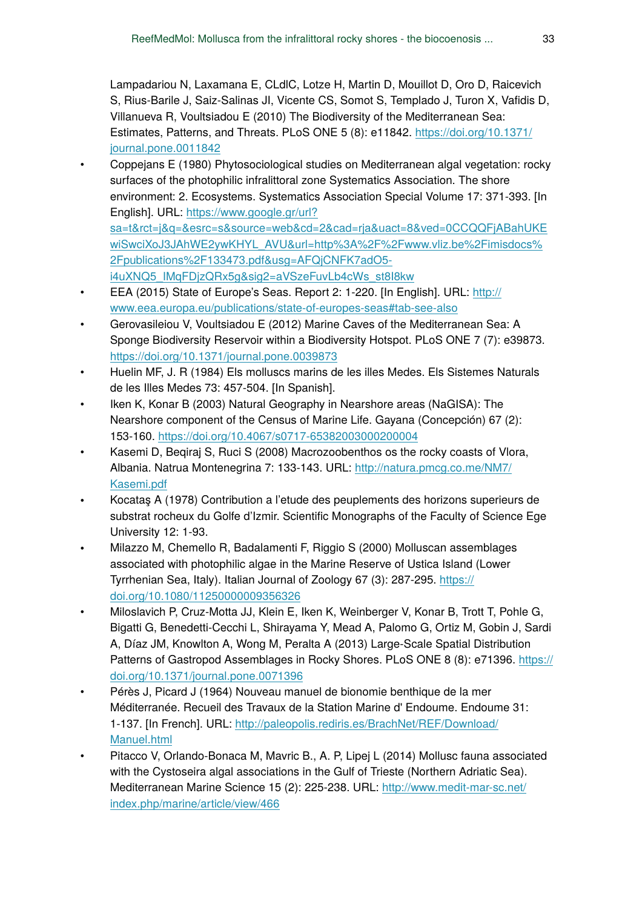Lampadariou N, Laxamana E, CLdlC, Lotze H, Martin D, Mouillot D, Oro D, Raicevich S, Rius-Barile J, Saiz-Salinas JI, Vicente CS, Somot S, Templado J, Turon X, Vafidis D, Villanueva R, Voultsiadou E (2010) The Biodiversity of the Mediterranean Sea: Estimates, Patterns, and Threats. PLoS ONE 5 (8): e11842. [https://doi.org/10.1371/](https://doi.org/10.1371/journal.pone.0011842) [journal.pone.0011842](https://doi.org/10.1371/journal.pone.0011842)

- Coppejans E (1980) Phytosociological studies on Mediterranean algal vegetation: rocky surfaces of the photophilic infralittoral zone Systematics Association. The shore environment: 2. Ecosystems. Systematics Association Special Volume 17: 371‑393. [In English]. URL: [https://www.google.gr/url?](https://www.google.gr/url?sa=t&rct=j&q=&esrc=s&source=web&cd=2&cad=rja&uact=8&ved=0CCQQFjABahUKEwiSwciXoJ3JAhWE2ywKHYL_AVU&url=http%3A%2F%2Fwww.vliz.be%2Fimisdocs%2Fpublications%2F133473.pdf&usg=AFQjCNFK7adO5-i4uXNQ5_IMqFDjzQRx5g&sig2=aVSzeFuvLb4cWs_st8I8kw) [sa=t&rct=j&q=&esrc=s&source=web&cd=2&cad=rja&uact=8&ved=0CCQQFjABahUKE](https://www.google.gr/url?sa=t&rct=j&q=&esrc=s&source=web&cd=2&cad=rja&uact=8&ved=0CCQQFjABahUKEwiSwciXoJ3JAhWE2ywKHYL_AVU&url=http%3A%2F%2Fwww.vliz.be%2Fimisdocs%2Fpublications%2F133473.pdf&usg=AFQjCNFK7adO5-i4uXNQ5_IMqFDjzQRx5g&sig2=aVSzeFuvLb4cWs_st8I8kw) [wiSwciXoJ3JAhWE2ywKHYL\\_AVU&url=http%3A%2F%2Fwww.vliz.be%2Fimisdocs%](https://www.google.gr/url?sa=t&rct=j&q=&esrc=s&source=web&cd=2&cad=rja&uact=8&ved=0CCQQFjABahUKEwiSwciXoJ3JAhWE2ywKHYL_AVU&url=http%3A%2F%2Fwww.vliz.be%2Fimisdocs%2Fpublications%2F133473.pdf&usg=AFQjCNFK7adO5-i4uXNQ5_IMqFDjzQRx5g&sig2=aVSzeFuvLb4cWs_st8I8kw) [2Fpublications%2F133473.pdf&usg=AFQjCNFK7adO5](https://www.google.gr/url?sa=t&rct=j&q=&esrc=s&source=web&cd=2&cad=rja&uact=8&ved=0CCQQFjABahUKEwiSwciXoJ3JAhWE2ywKHYL_AVU&url=http%3A%2F%2Fwww.vliz.be%2Fimisdocs%2Fpublications%2F133473.pdf&usg=AFQjCNFK7adO5-i4uXNQ5_IMqFDjzQRx5g&sig2=aVSzeFuvLb4cWs_st8I8kw) [i4uXNQ5\\_IMqFDjzQRx5g&sig2=aVSzeFuvLb4cWs\\_st8I8kw](https://www.google.gr/url?sa=t&rct=j&q=&esrc=s&source=web&cd=2&cad=rja&uact=8&ved=0CCQQFjABahUKEwiSwciXoJ3JAhWE2ywKHYL_AVU&url=http%3A%2F%2Fwww.vliz.be%2Fimisdocs%2Fpublications%2F133473.pdf&usg=AFQjCNFK7adO5-i4uXNQ5_IMqFDjzQRx5g&sig2=aVSzeFuvLb4cWs_st8I8kw)
- EEA (2015) State of Europe's Seas. Report 2: 1‑220. [In English]. URL: [http://](http://www.eea.europa.eu/publications/state-of-europes-seas#tab-see-also) [www.eea.europa.eu/publications/state-of-europes-seas#tab-see-also](http://www.eea.europa.eu/publications/state-of-europes-seas#tab-see-also)
- Gerovasileiou V, Voultsiadou E (2012) Marine Caves of the Mediterranean Sea: A Sponge Biodiversity Reservoir within a Biodiversity Hotspot. PLoS ONE 7 (7): e39873. <https://doi.org/10.1371/journal.pone.0039873>
- Huelin MF, J. R (1984) Els molluscs marins de les illes Medes. Els Sistemes Naturals de les Illes Medes 73: 457‑504. [In Spanish].
- Iken K, Konar B (2003) Natural Geography in Nearshore areas (NaGISA): The Nearshore component of the Census of Marine Life. Gayana (Concepción) 67 (2): 153‑160. <https://doi.org/10.4067/s0717-65382003000200004>
- Kasemi D, Beqiraj S, Ruci S (2008) Macrozoobenthos os the rocky coasts of Vlora, Albania. Natrua Montenegrina 7: 133‑143. URL: [http://natura.pmcg.co.me/NM7/](http://natura.pmcg.co.me/NM7/Kasemi.pdf) [Kasemi.pdf](http://natura.pmcg.co.me/NM7/Kasemi.pdf)
- Kocataş A (1978) Contribution a l'etude des peuplements des horizons superieurs de substrat rocheux du Golfe d'Izmir. Scientific Monographs of the Faculty of Science Ege University 12: 1‑93.
- Milazzo M, Chemello R, Badalamenti F, Riggio S (2000) Molluscan assemblages associated with photophilic algae in the Marine Reserve of Ustica Island (Lower Tyrrhenian Sea, Italy). Italian Journal of Zoology 67 (3): 287‑295. [https://](https://doi.org/10.1080/11250000009356326) [doi.org/10.1080/11250000009356326](https://doi.org/10.1080/11250000009356326)
- Miloslavich P, Cruz-Motta JJ, Klein E, Iken K, Weinberger V, Konar B, Trott T, Pohle G, Bigatti G, Benedetti-Cecchi L, Shirayama Y, Mead A, Palomo G, Ortiz M, Gobin J, Sardi A, Díaz JM, Knowlton A, Wong M, Peralta A (2013) Large-Scale Spatial Distribution Patterns of Gastropod Assemblages in Rocky Shores. PLoS ONE 8 (8): e71396. [https://](https://doi.org/10.1371/journal.pone.0071396) [doi.org/10.1371/journal.pone.0071396](https://doi.org/10.1371/journal.pone.0071396)
- Pérès J, Picard J (1964) Nouveau manuel de bionomie benthique de la mer Méditerranée. Recueil des Travaux de la Station Marine d' Endoume. Endoume 31: 1-137. [In French]. URL: [http://paleopolis.rediris.es/BrachNet/REF/Download/](http://paleopolis.rediris.es/BrachNet/REF/Download/Manuel.html) [Manuel.html](http://paleopolis.rediris.es/BrachNet/REF/Download/Manuel.html)
- Pitacco V, Orlando-Bonaca M, Mavric B., A. P, Lipej L (2014) Mollusc fauna associated with the Cystoseira algal associations in the Gulf of Trieste (Northern Adriatic Sea). Mediterranean Marine Science 15 (2): 225‑238. URL: [http://www.medit-mar-sc.net/](http://www.medit-mar-sc.net/index.php/marine/article/view/466) [index.php/marine/article/view/466](http://www.medit-mar-sc.net/index.php/marine/article/view/466)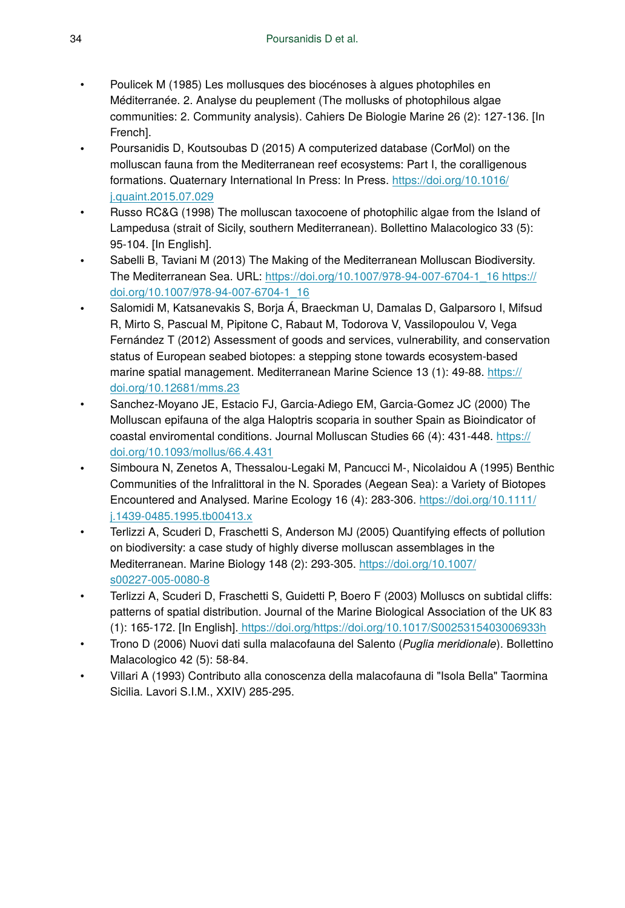- Poulicek M (1985) Les mollusques des biocénoses à algues photophiles en Méditerranée. 2. Analyse du peuplement (The mollusks of photophilous algae communities: 2. Community analysis). Cahiers De Biologie Marine 26 (2): 127‑136. [In French].
- Poursanidis D, Koutsoubas D (2015) A computerized database (CorMol) on the molluscan fauna from the Mediterranean reef ecosystems: Part I, the coralligenous formations. Quaternary International In Press: In Press. [https://doi.org/10.1016/](https://doi.org/10.1016/j.quaint.2015.07.029) [j.quaint.2015.07.029](https://doi.org/10.1016/j.quaint.2015.07.029)
- Russo RC&G (1998) The molluscan taxocoene of photophilic algae from the Island of Lampedusa (strait of Sicily, southern Mediterranean). Bollettino Malacologico 33 (5): 95‑104. [In English].
- Sabelli B, Taviani M (2013) The Making of the Mediterranean Molluscan Biodiversity. The Mediterranean Sea. URL: [https://doi.org/10.1007/978-94-007-6704-1\\_16 https://](https://doi.org/10.1007/978-94-007-6704-1_16) [doi.org/10.1007/978-94-007-6704-1\\_16](https://doi.org/10.1007/978-94-007-6704-1_16)
- Salomidi M, Katsanevakis S, Borja Á, Braeckman U, Damalas D, Galparsoro I, Mifsud R, Mirto S, Pascual M, Pipitone C, Rabaut M, Todorova V, Vassilopoulou V, Vega Fernández T (2012) Assessment of goods and services, vulnerability, and conservation status of European seabed biotopes: a stepping stone towards ecosystem-based marine spatial management. Mediterranean Marine Science 13 (1): 49-88. [https://](https://doi.org/10.12681/mms.23) [doi.org/10.12681/mms.23](https://doi.org/10.12681/mms.23)
- Sanchez-Moyano JE, Estacio FJ, Garcia-Adiego EM, Garcia-Gomez JC (2000) The Molluscan epifauna of the alga Haloptris scoparia in souther Spain as Bioindicator of coastal enviromental conditions. Journal Molluscan Studies 66 (4): 431-448. [https://](https://doi.org/10.1093/mollus/66.4.431) [doi.org/10.1093/mollus/66.4.431](https://doi.org/10.1093/mollus/66.4.431)
- Simboura N, Zenetos A, Thessalou-Legaki M, Pancucci M-, Nicolaidou A (1995) Benthic Communities of the lnfralittoral in the N. Sporades (Aegean Sea): a Variety of Biotopes Encountered and Analysed. Marine Ecology 16 (4): 283‑306. [https://doi.org/10.1111/](https://doi.org/10.1111/j.1439-0485.1995.tb00413.x) [j.1439-0485.1995.tb00413.x](https://doi.org/10.1111/j.1439-0485.1995.tb00413.x)
- Terlizzi A, Scuderi D, Fraschetti S, Anderson MJ (2005) Quantifying effects of pollution on biodiversity: a case study of highly diverse molluscan assemblages in the Mediterranean. Marine Biology 148 (2): 293‑305. [https://doi.org/10.1007/](https://doi.org/10.1007/s00227-005-0080-8) [s00227-005-0080-8](https://doi.org/10.1007/s00227-005-0080-8)
- Terlizzi A, Scuderi D, Fraschetti S, Guidetti P, Boero F (2003) Molluscs on subtidal cliffs: patterns of spatial distribution. Journal of the Marine Biological Association of the UK 83 (1): 165‑172. [In English][. https://doi.org/https://doi.org/10.1017/S0025315403006933h](https://doi.org/https://doi.org/10.1017/S0025315403006933h)
- Trono D (2006) Nuovi dati sulla malacofauna del Salento (*Puglia meridionale*). Bollettino Malacologico 42 (5): 58‑84.
- Villari A (1993) Contributo alla conoscenza della malacofauna di "Isola Bella" Taormina Sicilia. Lavori S.I.M., XXIV) 285-295.